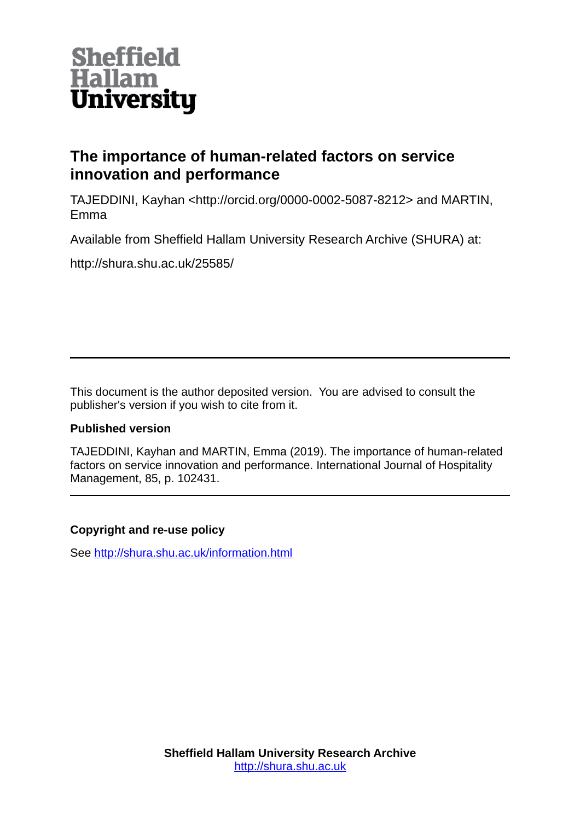

# **The importance of human-related factors on service innovation and performance**

TAJEDDINI, Kayhan <http://orcid.org/0000-0002-5087-8212> and MARTIN, Emma

Available from Sheffield Hallam University Research Archive (SHURA) at:

http://shura.shu.ac.uk/25585/

This document is the author deposited version. You are advised to consult the publisher's version if you wish to cite from it.

## **Published version**

TAJEDDINI, Kayhan and MARTIN, Emma (2019). The importance of human-related factors on service innovation and performance. International Journal of Hospitality Management, 85, p. 102431.

## **Copyright and re-use policy**

See<http://shura.shu.ac.uk/information.html>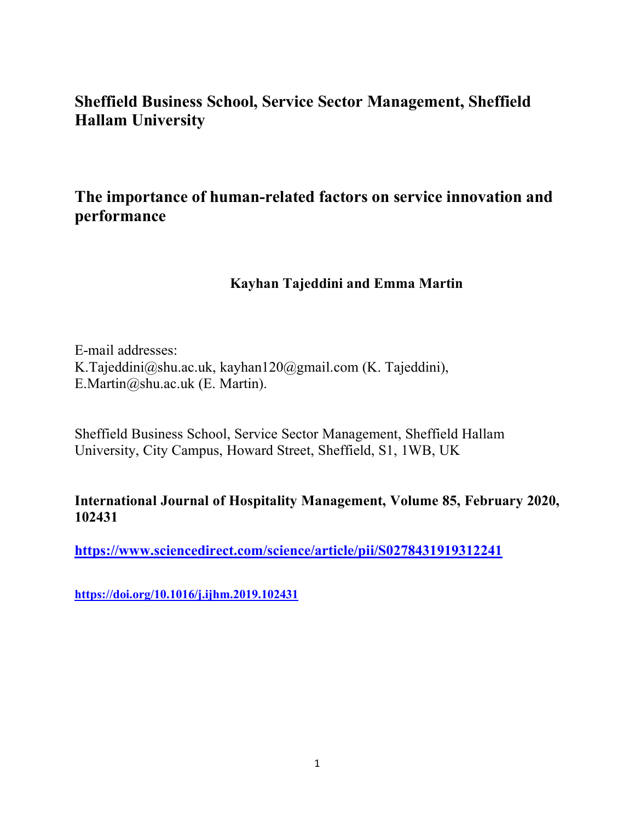# **Sheffield Business School, Service Sector Management, Sheffield Hallam University**

# **The importance of human-related factors on service innovation and performance**

## **Kayhan Tajeddini and Emma Martin**

E-mail addresses: K.Tajeddini@shu.ac.uk, kayhan120@gmail.com (K. Tajeddini), E.Martin@shu.ac.uk (E. Martin).

Sheffield Business School, Service Sector Management, Sheffield Hallam University, City Campus, Howard Street, Sheffield, S1, 1WB, UK

## **International Journal of Hospitality Management, Volume 85, February 2020, 102431**

**<https://www.sciencedirect.com/science/article/pii/S0278431919312241>**

**<https://doi.org/10.1016/j.ijhm.2019.102431>**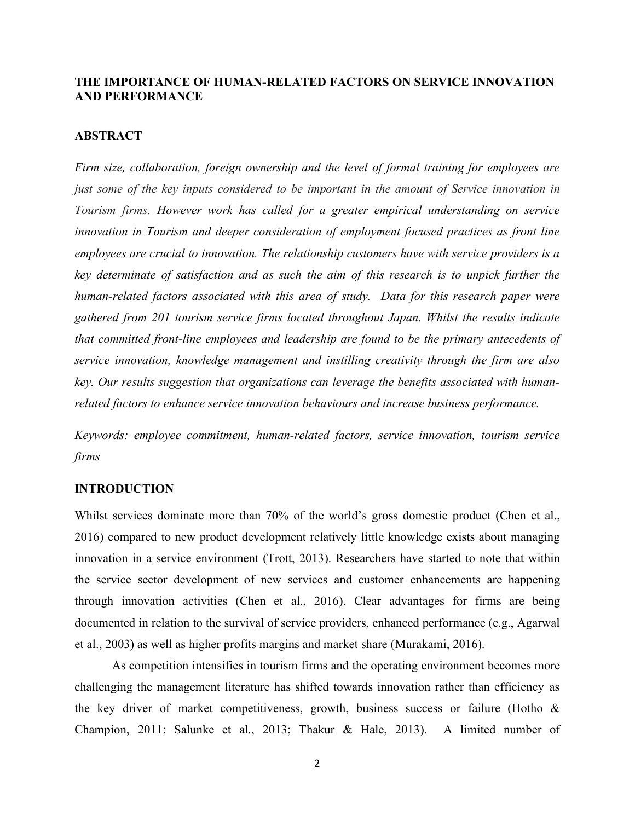## **THE IMPORTANCE OF HUMAN-RELATED FACTORS ON SERVICE INNOVATION AND PERFORMANCE**

### **ABSTRACT**

*Firm size, collaboration, foreign ownership and the level of formal training for employees are just some of the key inputs considered to be important in the amount of Service innovation in Tourism firms. However work has called for a greater empirical understanding on service innovation in Tourism and deeper consideration of employment focused practices as front line employees are crucial to innovation. The relationship customers have with service providers is a key determinate of satisfaction and as such the aim of this research is to unpick further the human-related factors associated with this area of study. Data for this research paper were gathered from 201 tourism service firms located throughout Japan. Whilst the results indicate that committed front-line employees and leadership are found to be the primary antecedents of service innovation, knowledge management and instilling creativity through the firm are also key. Our results suggestion that organizations can leverage the benefits associated with humanrelated factors to enhance service innovation behaviours and increase business performance.*

*Keywords: employee commitment, human-related factors, service innovation, tourism service firms*

#### **INTRODUCTION**

Whilst services dominate more than 70% of the world's gross domestic product (Chen et al., 2016) compared to new product development relatively little knowledge exists about managing innovation in a service environment (Trott, 2013). Researchers have started to note that within the service sector development of new services and customer enhancements are happening through innovation activities (Chen et al., 2016). Clear advantages for firms are being documented in relation to the survival of service providers, enhanced performance (e.g., Agarwal et al., 2003) as well as higher profits margins and market share (Murakami, 2016).

As competition intensifies in tourism firms and the operating environment becomes more challenging the management literature has shifted towards innovation rather than efficiency as the key driver of market competitiveness, growth, business success or failure (Hotho  $\&$ Champion, 2011; Salunke et al., 2013; Thakur & Hale, 2013). A limited number of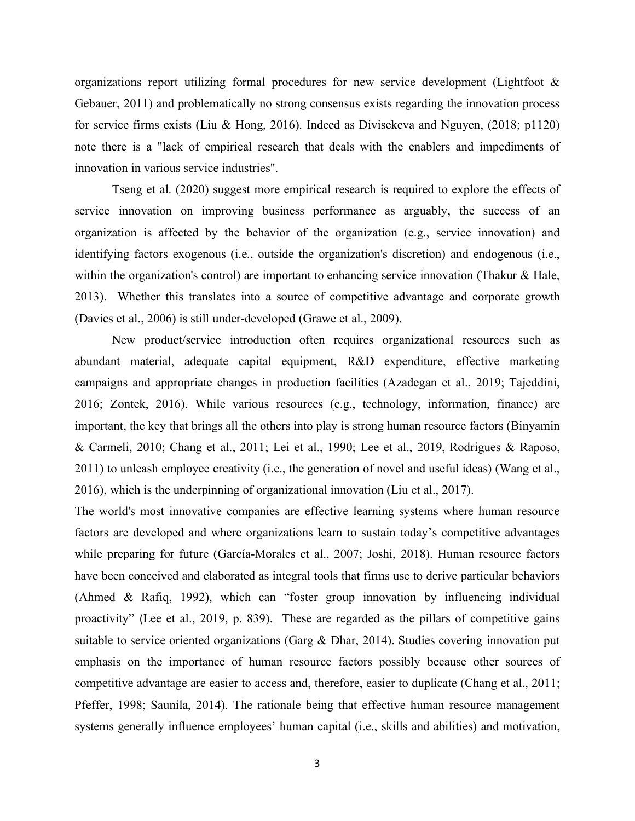organizations report utilizing formal procedures for new service development (Lightfoot & Gebauer, 2011) and problematically no strong consensus exists regarding the innovation process for service firms exists (Liu & Hong, 2016). Indeed as Divisekeva and Nguyen, (2018; p1120) note there is a "lack of empirical research that deals with the enablers and impediments of innovation in various service industries".

Tseng et al. (2020) suggest more empirical research is required to explore the effects of service innovation on improving business performance as arguably, the success of an organization is affected by the behavior of the organization (e.g., service innovation) and identifying factors exogenous (i.e., outside the organization's discretion) and endogenous (i.e., within the organization's control) are important to enhancing service innovation (Thakur & Hale, 2013). Whether this translates into a source of competitive advantage and corporate growth (Davies et al., 2006) is still under-developed (Grawe et al., 2009).

New product/service introduction often requires organizational resources such as abundant material, adequate capital equipment, R&D expenditure, effective marketing campaigns and appropriate changes in production facilities (Azadegan et al., 2019; Tajeddini, 2016; Zontek, 2016). While various resources (e.g., technology, information, finance) are important, the key that brings all the others into play is strong human resource factors (Binyamin & Carmeli, 2010; Chang et al., 2011; Lei et al., 1990; Lee et al., 2019, Rodrigues & Raposo, 2011) to unleash employee creativity (i.e., the generation of novel and useful ideas) (Wang et al., 2016), which is the underpinning of organizational innovation (Liu et al., 2017).

The world's most innovative companies are effective learning systems where human resource factors are developed and where organizations learn to sustain today's competitive advantages while preparing for future (García-Morales et al., 2007; Joshi, 2018). Human resource factors have been conceived and elaborated as integral tools that firms use to derive particular behaviors (Ahmed & Rafiq, 1992), which can "foster group innovation by influencing individual proactivity" (Lee et al., 2019, p. 839). These are regarded as the pillars of competitive gains suitable to service oriented organizations (Garg & Dhar, 2014). Studies covering innovation put emphasis on the importance of human resource factors possibly because other sources of competitive advantage are easier to access and, therefore, easier to duplicate (Chang et al., 2011; Pfeffer, 1998; Saunila, 2014). The rationale being that effective human resource management systems generally influence employees' human capital (i.e., skills and abilities) and motivation,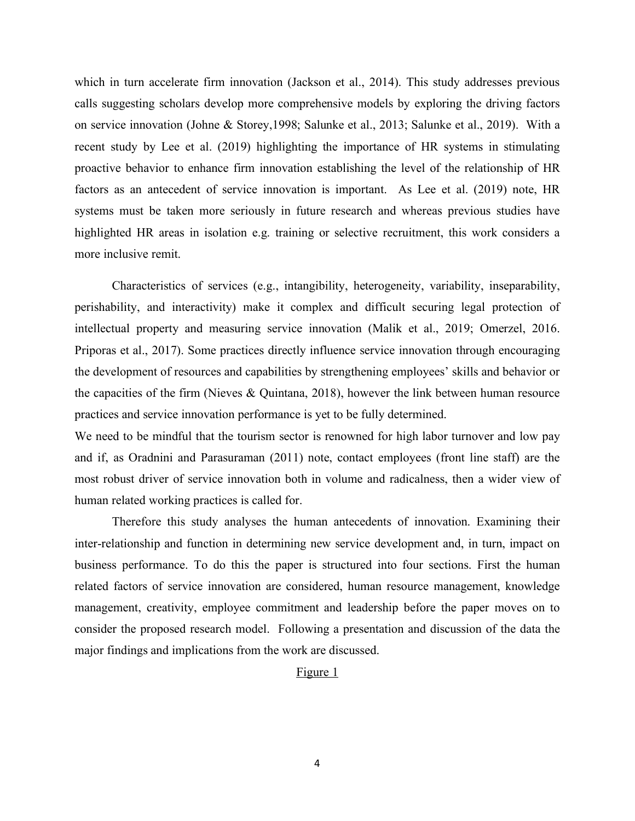which in turn accelerate firm innovation (Jackson et al., 2014). This study addresses previous calls suggesting scholars develop more comprehensive models by exploring the driving factors on service innovation (Johne & Storey,1998; Salunke et al., 2013; Salunke et al., 2019). With a recent study by Lee et al. (2019) highlighting the importance of HR systems in stimulating proactive behavior to enhance firm innovation establishing the level of the relationship of HR factors as an antecedent of service innovation is important. As Lee et al. (2019) note, HR systems must be taken more seriously in future research and whereas previous studies have highlighted HR areas in isolation e.g. training or selective recruitment, this work considers a more inclusive remit.

Characteristics of services (e.g., intangibility, heterogeneity, variability, inseparability, perishability, and interactivity) make it complex and difficult securing legal protection of intellectual property and measuring service innovation (Malik et al., 2019; Omerzel, 2016. Priporas et al., 2017). Some practices directly influence service innovation through encouraging the development of resources and capabilities by strengthening employees' skills and behavior or the capacities of the firm (Nieves & Quintana, 2018), however the link between human resource practices and service innovation performance is yet to be fully determined.

We need to be mindful that the tourism sector is renowned for high labor turnover and low pay and if, as Oradnini and Parasuraman (2011) note, contact employees (front line staff) are the most robust driver of service innovation both in volume and radicalness, then a wider view of human related working practices is called for.

Therefore this study analyses the human antecedents of innovation. Examining their inter-relationship and function in determining new service development and, in turn, impact on business performance. To do this the paper is structured into four sections. First the human related factors of service innovation are considered, human resource management, knowledge management, creativity, employee commitment and leadership before the paper moves on to consider the proposed research model. Following a presentation and discussion of the data the major findings and implications from the work are discussed.

#### Figure 1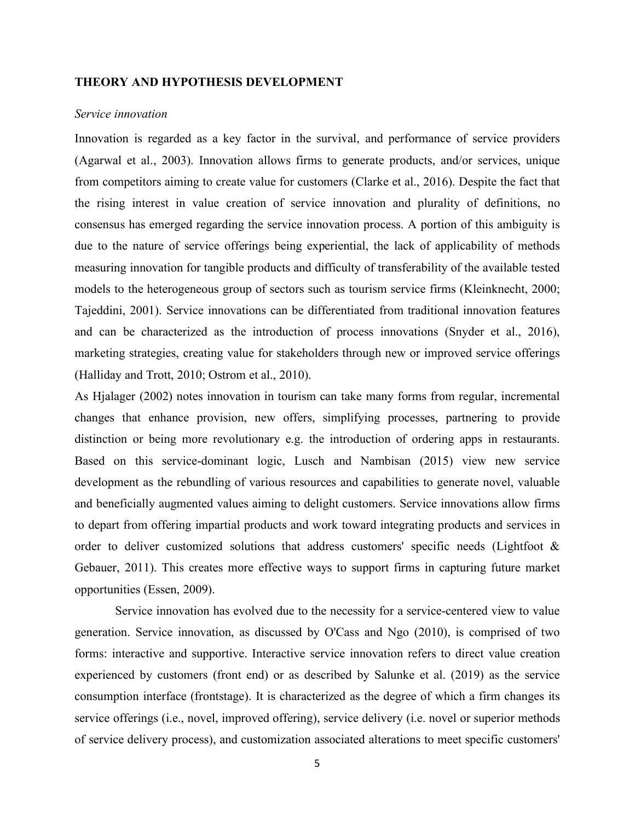### **THEORY AND HYPOTHESIS DEVELOPMENT**

#### *Service innovation*

Innovation is regarded as a key factor in the survival, and performance of service providers (Agarwal et al., 2003). Innovation allows firms to generate products, and/or services, unique from competitors aiming to create value for customers (Clarke et al., 2016). Despite the fact that the rising interest in value creation of service innovation and plurality of definitions, no consensus has emerged regarding the service innovation process. A portion of this ambiguity is due to the nature of service offerings being experiential, the lack of applicability of methods measuring innovation for tangible products and difficulty of transferability of the available tested models to the heterogeneous group of sectors such as tourism service firms (Kleinknecht, 2000; Tajeddini, 2001). Service innovations can be differentiated from traditional innovation features and can be characterized as the introduction of process innovations (Snyder et al., 2016), marketing strategies, creating value for stakeholders through new or improved service offerings (Halliday and Trott, 2010; Ostrom et al., 2010).

As Hjalager (2002) notes innovation in tourism can take many forms from regular, incremental changes that enhance provision, new offers, simplifying processes, partnering to provide distinction or being more revolutionary e.g. the introduction of ordering apps in restaurants. Based on this service-dominant logic, Lusch and Nambisan (2015) view new service development as the rebundling of various resources and capabilities to generate novel, valuable and beneficially augmented values aiming to delight customers. Service innovations allow firms to depart from offering impartial products and work toward integrating products and services in order to deliver customized solutions that address customers' specific needs (Lightfoot & Gebauer, 2011). This creates more effective ways to support firms in capturing future market opportunities (Essen, 2009).

Service innovation has evolved due to the necessity for a service-centered view to value generation. Service innovation, as discussed by O'Cass and Ngo (2010), is comprised of two forms: interactive and supportive. Interactive service innovation refers to direct value creation experienced by customers (front end) or as described by Salunke et al. (2019) as the service consumption interface (frontstage). It is characterized as the degree of which a firm changes its service offerings (i.e., novel, improved offering), service delivery (i.e. novel or superior methods of service delivery process), and customization associated alterations to meet specific customers'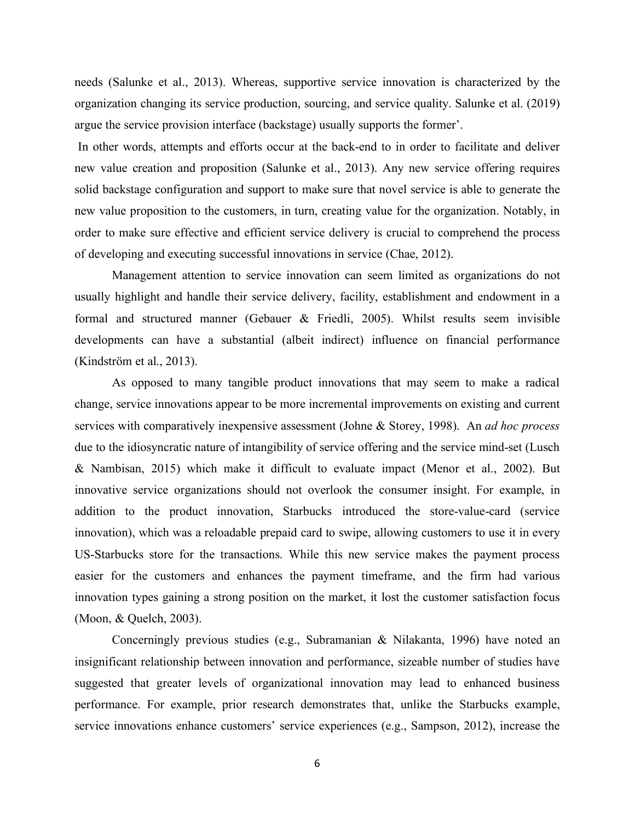needs (Salunke et al., 2013). Whereas, supportive service innovation is characterized by the organization changing its service production, sourcing, and service quality. Salunke et al. (2019) argue the service provision interface (backstage) usually supports the former'.

In other words, attempts and efforts occur at the back-end to in order to facilitate and deliver new value creation and proposition (Salunke et al., 2013). Any new service offering requires solid backstage configuration and support to make sure that novel service is able to generate the new value proposition to the customers, in turn, creating value for the organization. Notably, in order to make sure effective and efficient service delivery is crucial to comprehend the process of developing and executing successful innovations in service (Chae, 2012).

Management attention to service innovation can seem limited as organizations do not usually highlight and handle their service delivery, facility, establishment and endowment in a formal and structured manner (Gebauer & Friedli, 2005). Whilst results seem invisible developments can have a substantial (albeit indirect) influence on financial performance (Kindström et al., 2013).

As opposed to many tangible product innovations that may seem to make a radical change, service innovations appear to be more incremental improvements on existing and current services with comparatively inexpensive assessment (Johne & Storey, 1998). An *ad hoc process* due to the idiosyncratic nature of intangibility of service offering and the service mind-set (Lusch & Nambisan, 2015) which make it difficult to evaluate impact (Menor et al., 2002). But innovative service organizations should not overlook the consumer insight. For example, in addition to the product innovation, Starbucks introduced the store-value-card (service innovation), which was a reloadable prepaid card to swipe, allowing customers to use it in every US-Starbucks store for the transactions. While this new service makes the payment process easier for the customers and enhances the payment timeframe, and the firm had various innovation types gaining a strong position on the market, it lost the customer satisfaction focus (Moon, & Quelch, 2003).

Concerningly previous studies (e.g., Subramanian & Nilakanta, 1996) have noted an insignificant relationship between innovation and performance, sizeable number of studies have suggested that greater levels of organizational innovation may lead to enhanced business performance. For example, prior research demonstrates that, unlike the Starbucks example, service innovations enhance customers' service experiences (e.g., Sampson, 2012), increase the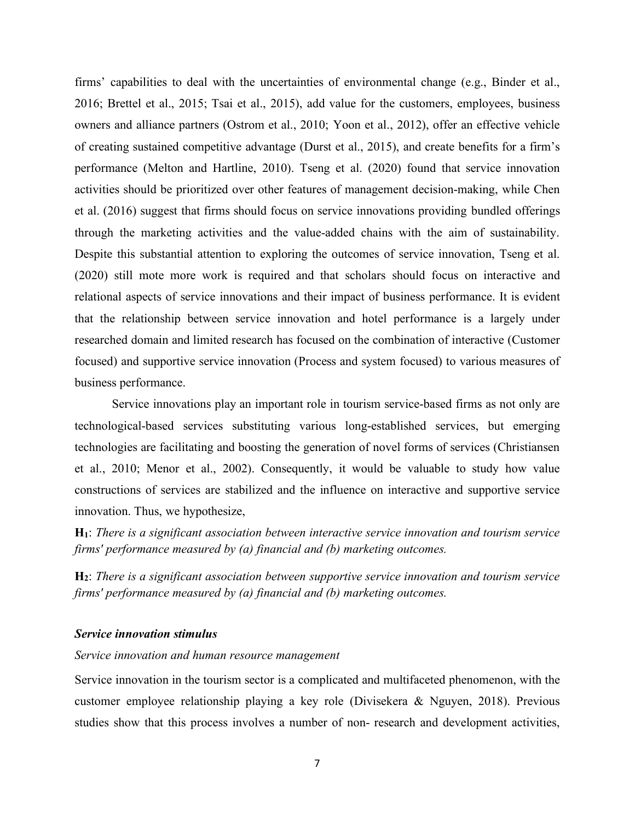firms' capabilities to deal with the uncertainties of environmental change (e.g., Binder et al., 2016; Brettel et al., 2015; Tsai et al., 2015), add value for the customers, employees, business owners and alliance partners (Ostrom et al., 2010; Yoon et al., 2012), offer an effective vehicle of creating sustained competitive advantage (Durst et al., 2015), and create benefits for a firm's performance (Melton and Hartline, 2010). Tseng et al. (2020) found that service innovation activities should be prioritized over other features of management decision-making, while Chen et al. (2016) suggest that firms should focus on service innovations providing bundled offerings through the marketing activities and the value-added chains with the aim of sustainability. Despite this substantial attention to exploring the outcomes of service innovation, Tseng et al. (2020) still mote more work is required and that scholars should focus on interactive and relational aspects of service innovations and their impact of business performance. It is evident that the relationship between service innovation and hotel performance is a largely under researched domain and limited research has focused on the combination of interactive (Customer focused) and supportive service innovation (Process and system focused) to various measures of business performance.

Service innovations play an important role in tourism service-based firms as not only are technological-based services substituting various long-established services, but emerging technologies are facilitating and boosting the generation of novel forms of services (Christiansen et al., 2010; Menor et al., 2002). Consequently, it would be valuable to study how value constructions of services are stabilized and the influence on interactive and supportive service innovation. Thus, we hypothesize,

**H1**: *There is a significant association between interactive service innovation and tourism service firms' performance measured by (a) financial and (b) marketing outcomes.*

**H2**: *There is a significant association between supportive service innovation and tourism service firms' performance measured by (a) financial and (b) marketing outcomes.*

#### *Service innovation stimulus*

## *Service innovation and human resource management*

Service innovation in the tourism sector is a complicated and multifaceted phenomenon, with the customer employee relationship playing a key role (Divisekera & Nguyen, 2018). Previous studies show that this process involves a number of non- research and development activities,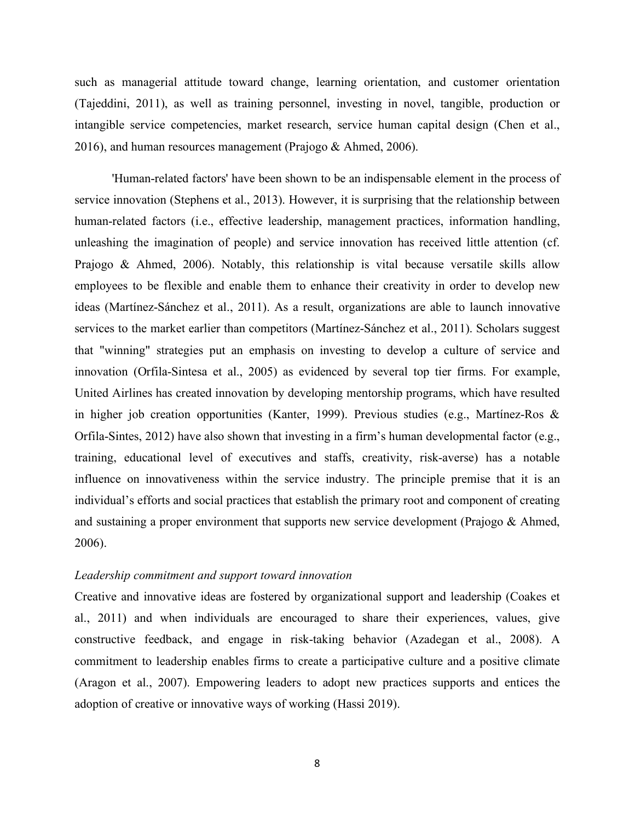such as managerial attitude toward change, learning orientation, and customer orientation (Tajeddini, 2011), as well as training personnel, investing in novel, tangible, production or intangible service competencies, market research, service human capital design (Chen et al., 2016), and human resources management (Prajogo & Ahmed, 2006).

'Human-related factors' have been shown to be an indispensable element in the process of service innovation (Stephens et al., 2013). However, it is surprising that the relationship between human-related factors (i.e., effective leadership, management practices, information handling, unleashing the imagination of people) and service innovation has received little attention (cf. Prajogo & Ahmed, 2006). Notably, this relationship is vital because versatile skills allow employees to be flexible and enable them to enhance their creativity in order to develop new ideas (Martínez-Sánchez et al., 2011). As a result, organizations are able to launch innovative services to the market earlier than competitors (Martínez-Sánchez et al., 2011). Scholars suggest that "winning" strategies put an emphasis on investing to develop a culture of service and innovation (Orfila-Sintesa et al., 2005) as evidenced by several top tier firms. For example, United Airlines has created innovation by developing mentorship programs, which have resulted in higher job creation opportunities (Kanter, 1999). Previous studies (e.g., Martínez-Ros & Orfila-Sintes, 2012) have also shown that investing in a firm's human developmental factor (e.g., training, educational level of executives and staffs, creativity, risk-averse) has a notable influence on innovativeness within the service industry. The principle premise that it is an individual's efforts and social practices that establish the primary root and component of creating and sustaining a proper environment that supports new service development (Prajogo & Ahmed, 2006).

## *Leadership commitment and support toward innovation*

Creative and innovative ideas are fostered by organizational support and leadership (Coakes et al., 2011) and when individuals are encouraged to share their experiences, values, give constructive feedback, and engage in risk-taking behavior (Azadegan et al., 2008). A commitment to leadership enables firms to create a participative culture and a positive climate (Aragon et al., 2007). Empowering leaders to adopt new practices supports and entices the adoption of creative or innovative ways of working (Hassi 2019).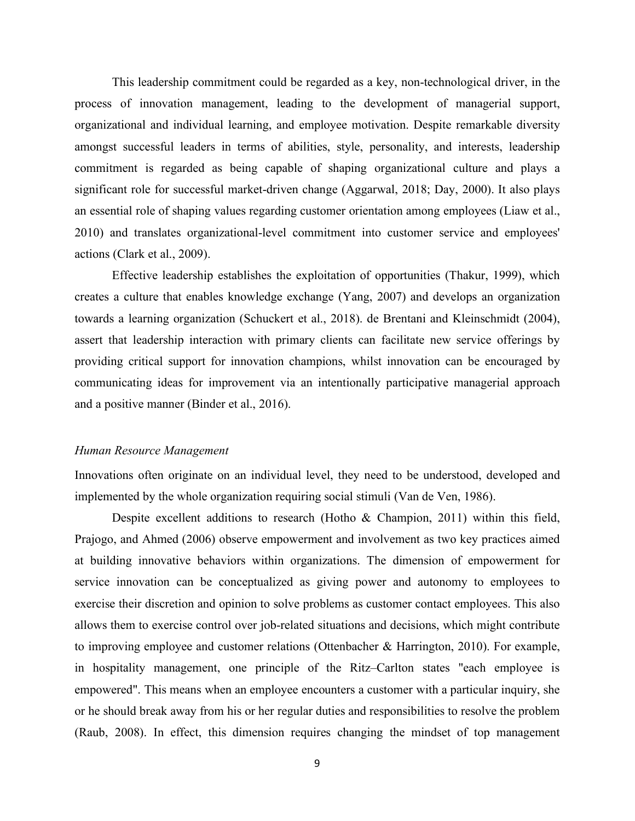This leadership commitment could be regarded as a key, non-technological driver, in the process of innovation management, leading to the development of managerial support, organizational and individual learning, and employee motivation. Despite remarkable diversity amongst successful leaders in terms of abilities, style, personality, and interests, leadership commitment is regarded as being capable of shaping organizational culture and plays a significant role for successful market-driven change (Aggarwal, 2018; Day, 2000). It also plays an essential role of shaping values regarding customer orientation among employees (Liaw et al., 2010) and translates organizational-level commitment into customer service and employees' actions (Clark et al., 2009).

Effective leadership establishes the exploitation of opportunities (Thakur, 1999), which creates a culture that enables knowledge exchange (Yang, 2007) and develops an organization towards a learning organization (Schuckert et al., 2018). de Brentani and Kleinschmidt (2004), assert that leadership interaction with primary clients can facilitate new service offerings by providing critical support for innovation champions, whilst innovation can be encouraged by communicating ideas for improvement via an intentionally participative managerial approach and a positive manner (Binder et al., 2016).

## *Human Resource Management*

Innovations often originate on an individual level, they need to be understood, developed and implemented by the whole organization requiring social stimuli (Van de Ven, 1986).

Despite excellent additions to research (Hotho & Champion, 2011) within this field, Prajogo, and Ahmed (2006) observe empowerment and involvement as two key practices aimed at building innovative behaviors within organizations. The dimension of empowerment for service innovation can be conceptualized as giving power and autonomy to employees to exercise their discretion and opinion to solve problems as customer contact employees. This also allows them to exercise control over job-related situations and decisions, which might contribute to improving employee and customer relations (Ottenbacher & Harrington, 2010). For example, in hospitality management, one principle of the Ritz–Carlton states "each employee is empowered". This means when an employee encounters a customer with a particular inquiry, she or he should break away from his or her regular duties and responsibilities to resolve the problem (Raub, 2008). In effect, this dimension requires changing the mindset of top management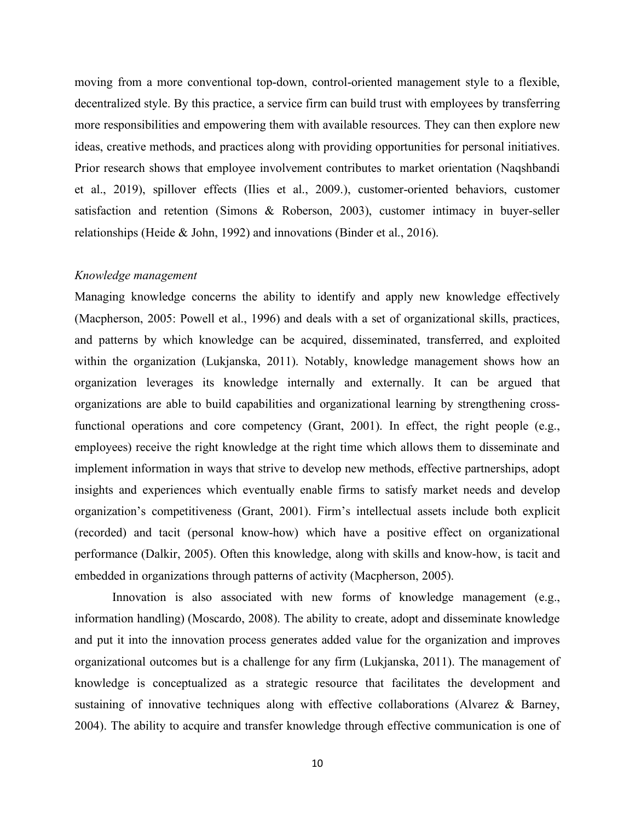moving from a more conventional top-down, control-oriented management style to a flexible, decentralized style. By this practice, a service firm can build trust with employees by transferring more responsibilities and empowering them with available resources. They can then explore new ideas, creative methods, and practices along with providing opportunities for personal initiatives. Prior research shows that employee involvement contributes to market orientation (Naqshbandi et al., 2019), spillover effects (Ilies et al., 2009.), customer-oriented behaviors, customer satisfaction and retention (Simons & Roberson, 2003), customer intimacy in buyer-seller relationships (Heide & John, 1992) and innovations (Binder et al., 2016).

## *Knowledge management*

Managing knowledge concerns the ability to identify and apply new knowledge effectively (Macpherson, 2005: Powell et al., 1996) and deals with a set of organizational skills, practices, and patterns by which knowledge can be acquired, disseminated, transferred, and exploited within the organization (Lukjanska, 2011). Notably, knowledge management shows how an organization leverages its knowledge internally and externally. It can be argued that organizations are able to build capabilities and organizational learning by strengthening crossfunctional operations and core competency (Grant, 2001). In effect, the right people (e.g., employees) receive the right knowledge at the right time which allows them to disseminate and implement information in ways that strive to develop new methods, effective partnerships, adopt insights and experiences which eventually enable firms to satisfy market needs and develop organization's competitiveness (Grant, 2001). Firm's intellectual assets include both explicit (recorded) and tacit (personal know-how) which have a positive effect on organizational performance (Dalkir, 2005). Often this knowledge, along with skills and know-how, is tacit and embedded in organizations through patterns of activity (Macpherson, 2005).

 Innovation is also associated with new forms of knowledge management (e.g., information handling) (Moscardo, 2008). The ability to create, adopt and disseminate knowledge and put it into the innovation process generates added value for the organization and improves organizational outcomes but is a challenge for any firm (Lukjanska, 2011). The management of knowledge is conceptualized as a strategic resource that facilitates the development and sustaining of innovative techniques along with effective collaborations (Alvarez & Barney, 2004). The ability to acquire and transfer knowledge through effective communication is one of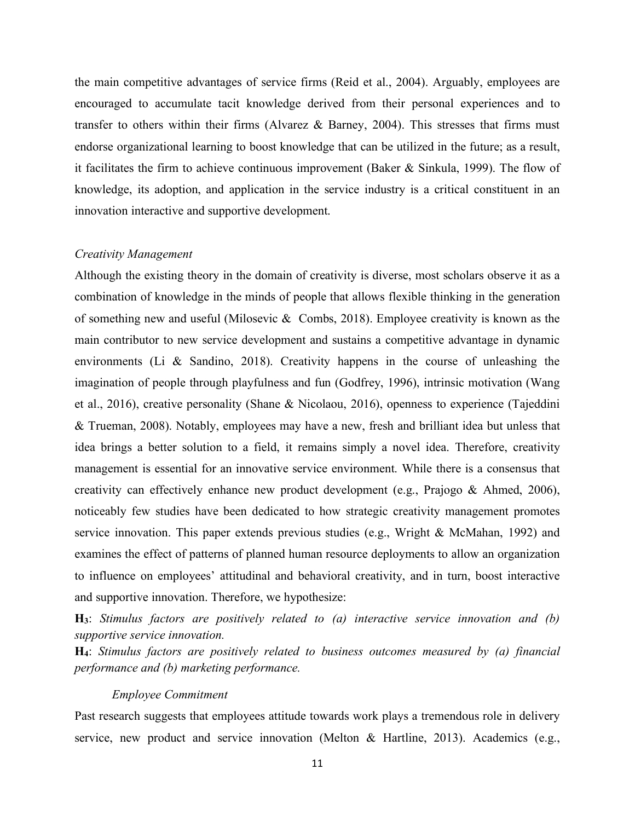the main competitive advantages of service firms (Reid et al., 2004). Arguably, employees are encouraged to accumulate tacit knowledge derived from their personal experiences and to transfer to others within their firms (Alvarez & Barney, 2004). This stresses that firms must endorse organizational learning to boost knowledge that can be utilized in the future; as a result, it facilitates the firm to achieve continuous improvement (Baker & Sinkula, 1999). The flow of knowledge, its adoption, and application in the service industry is a critical constituent in an innovation interactive and supportive development.

#### *Creativity Management*

Although the existing theory in the domain of creativity is diverse, most scholars observe it as a combination of knowledge in the minds of people that allows flexible thinking in the generation of something new and useful (Milosevic & Combs, 2018). Employee creativity is known as the main contributor to new service development and sustains a competitive advantage in dynamic environments (Li & Sandino, 2018). Creativity happens in the course of unleashing the imagination of people through playfulness and fun (Godfrey, 1996), intrinsic motivation (Wang et al., 2016), creative personality (Shane & Nicolaou, 2016), openness to experience (Tajeddini & Trueman, 2008). Notably, employees may have a new, fresh and brilliant idea but unless that idea brings a better solution to a field, it remains simply a novel idea. Therefore, creativity management is essential for an innovative service environment. While there is a consensus that creativity can effectively enhance new product development (e.g., Prajogo & Ahmed, 2006), noticeably few studies have been dedicated to how strategic creativity management promotes service innovation. This paper extends previous studies (e.g., Wright & McMahan, 1992) and examines the effect of patterns of planned human resource deployments to allow an organization to influence on employees' attitudinal and behavioral creativity, and in turn, boost interactive and supportive innovation. Therefore, we hypothesize:

**H3**: *Stimulus factors are positively related to (a) interactive service innovation and (b) supportive service innovation.* 

**H4**: *Stimulus factors are positively related to business outcomes measured by (a) financial performance and (b) marketing performance.*

### *Employee Commitment*

Past research suggests that employees attitude towards work plays a tremendous role in delivery service, new product and service innovation (Melton & Hartline, 2013). Academics (e.g.,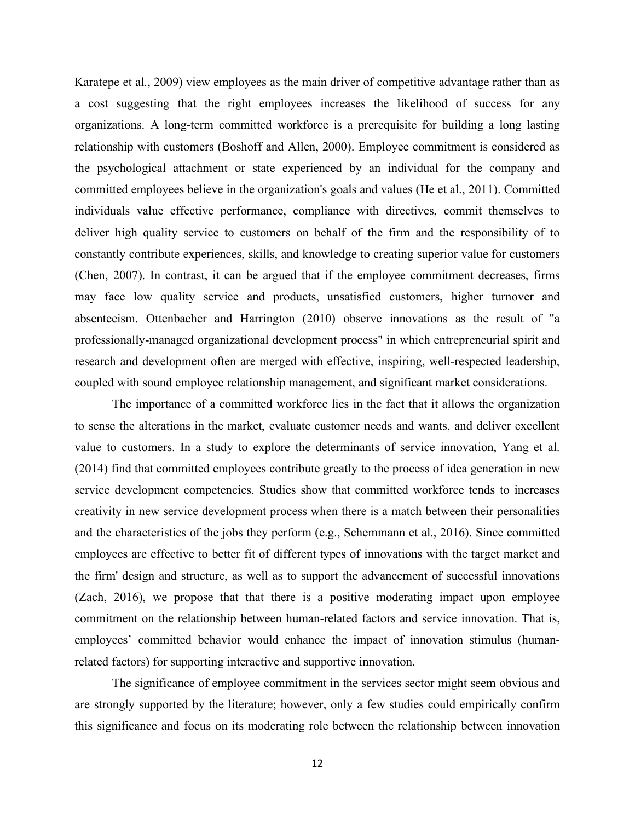Karatepe et al., 2009) view employees as the main driver of competitive advantage rather than as a cost suggesting that the right employees increases the likelihood of success for any organizations. A long-term committed workforce is a prerequisite for building a long lasting relationship with customers (Boshoff and Allen, 2000). Employee commitment is considered as the psychological attachment or state experienced by an individual for the company and committed employees believe in the organization's goals and values (He et al., 2011). Committed individuals value effective performance, compliance with directives, commit themselves to deliver high quality service to customers on behalf of the firm and the responsibility of to constantly contribute experiences, skills, and knowledge to creating superior value for customers (Chen, 2007). In contrast, it can be argued that if the employee commitment decreases, firms may face low quality service and products, unsatisfied customers, higher turnover and absenteeism. Ottenbacher and Harrington (2010) observe innovations as the result of "a professionally-managed organizational development process" in which entrepreneurial spirit and research and development often are merged with effective, inspiring, well-respected leadership, coupled with sound employee relationship management, and significant market considerations.

The importance of a committed workforce lies in the fact that it allows the organization to sense the alterations in the market, evaluate customer needs and wants, and deliver excellent value to customers. In a study to explore the determinants of service innovation, Yang et al. (2014) find that committed employees contribute greatly to the process of idea generation in new service development competencies. Studies show that committed workforce tends to increases creativity in new service development process when there is a match between their personalities and the characteristics of the jobs they perform (e.g., Schemmann et al., 2016). Since committed employees are effective to better fit of different types of innovations with the target market and the firm' design and structure, as well as to support the advancement of successful innovations (Zach, 2016), we propose that that there is a positive moderating impact upon employee commitment on the relationship between human-related factors and service innovation. That is, employees' committed behavior would enhance the impact of innovation stimulus (humanrelated factors) for supporting interactive and supportive innovation.

The significance of employee commitment in the services sector might seem obvious and are strongly supported by the literature; however, only a few studies could empirically confirm this significance and focus on its moderating role between the relationship between innovation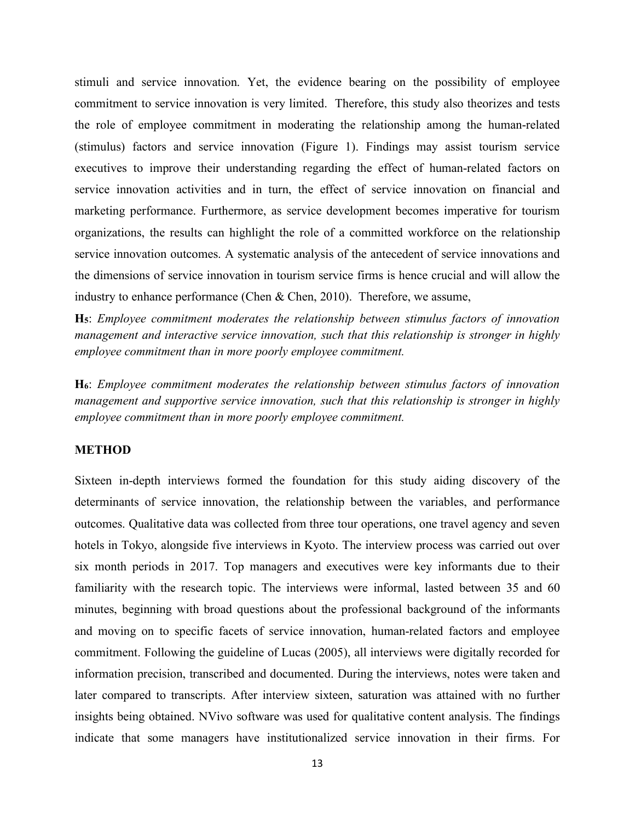stimuli and service innovation. Yet, the evidence bearing on the possibility of employee commitment to service innovation is very limited. Therefore, this study also theorizes and tests the role of employee commitment in moderating the relationship among the human-related (stimulus) factors and service innovation (Figure 1). Findings may assist tourism service executives to improve their understanding regarding the effect of human-related factors on service innovation activities and in turn, the effect of service innovation on financial and marketing performance. Furthermore, as service development becomes imperative for tourism organizations, the results can highlight the role of a committed workforce on the relationship service innovation outcomes. A systematic analysis of the antecedent of service innovations and the dimensions of service innovation in tourism service firms is hence crucial and will allow the industry to enhance performance (Chen & Chen, 2010).Therefore, we assume,

**H5**: *Employee commitment moderates the relationship between stimulus factors of innovation management and interactive service innovation, such that this relationship is stronger in highly employee commitment than in more poorly employee commitment.*

**H6**: *Employee commitment moderates the relationship between stimulus factors of innovation management and supportive service innovation, such that this relationship is stronger in highly employee commitment than in more poorly employee commitment.*

## **METHOD**

Sixteen in-depth interviews formed the foundation for this study aiding discovery of the determinants of service innovation, the relationship between the variables, and performance outcomes. Qualitative data was collected from three tour operations, one travel agency and seven hotels in Tokyo, alongside five interviews in Kyoto. The interview process was carried out over six month periods in 2017. Top managers and executives were key informants due to their familiarity with the research topic. The interviews were informal, lasted between 35 and 60 minutes, beginning with broad questions about the professional background of the informants and moving on to specific facets of service innovation, human-related factors and employee commitment. Following the guideline of Lucas (2005), all interviews were digitally recorded for information precision, transcribed and documented. During the interviews, notes were taken and later compared to transcripts. After interview sixteen, saturation was attained with no further insights being obtained. NVivo software was used for qualitative content analysis. The findings indicate that some managers have institutionalized service innovation in their firms. For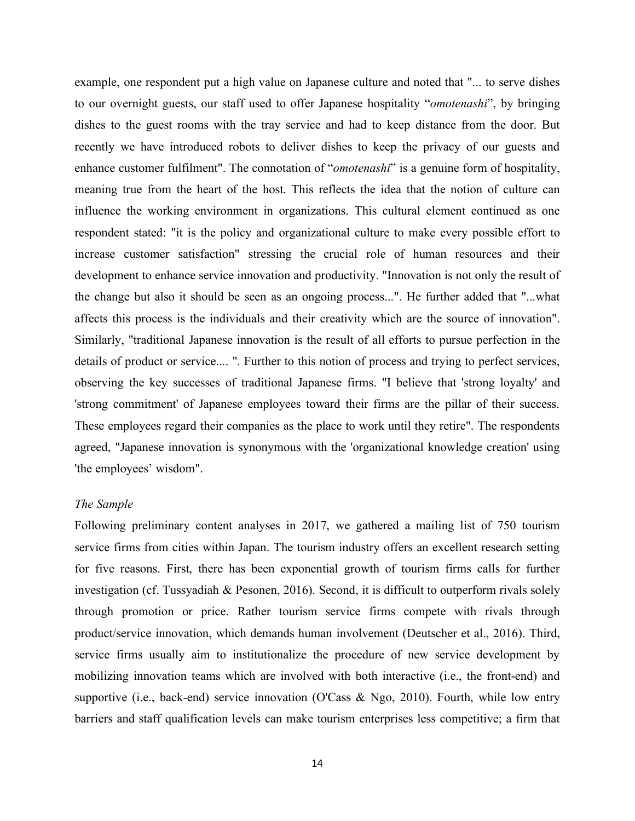example, one respondent put a high value on Japanese culture and noted that "... to serve dishes to our overnight guests, our staff used to offer Japanese hospitality "*omotenashi*", by bringing dishes to the guest rooms with the tray service and had to keep distance from the door. But recently we have introduced robots to deliver dishes to keep the privacy of our guests and enhance customer fulfilment". The connotation of "*omotenashi*" is a genuine form of hospitality, meaning true from the heart of the host. This reflects the idea that the notion of culture can influence the working environment in organizations. This cultural element continued as one respondent stated: "it is the policy and organizational culture to make every possible effort to increase customer satisfaction" stressing the crucial role of human resources and their development to enhance service innovation and productivity. "Innovation is not only the result of the change but also it should be seen as an ongoing process...". He further added that "...what affects this process is the individuals and their creativity which are the source of innovation". Similarly, "traditional Japanese innovation is the result of all efforts to pursue perfection in the details of product or service.... ". Further to this notion of process and trying to perfect services, observing the key successes of traditional Japanese firms. "I believe that 'strong loyalty' and 'strong commitment' of Japanese employees toward their firms are the pillar of their success. These employees regard their companies as the place to work until they retire". The respondents agreed, "Japanese innovation is synonymous with the 'organizational knowledge creation' using 'the employees' wisdom".

#### *The Sample*

Following preliminary content analyses in 2017, we gathered a mailing list of 750 tourism service firms from cities within Japan. The tourism industry offers an excellent research setting for five reasons. First, there has been exponential growth of tourism firms calls for further investigation (cf. Tussyadiah & Pesonen, 2016). Second, it is difficult to outperform rivals solely through promotion or price. Rather tourism service firms compete with rivals through product/service innovation, which demands human involvement (Deutscher et al., 2016). Third, service firms usually aim to institutionalize the procedure of new service development by mobilizing innovation teams which are involved with both interactive (i.e., the front-end) and supportive (i.e., back-end) service innovation (O'Cass & Ngo, 2010). Fourth, while low entry barriers and staff qualification levels can make tourism enterprises less competitive; a firm that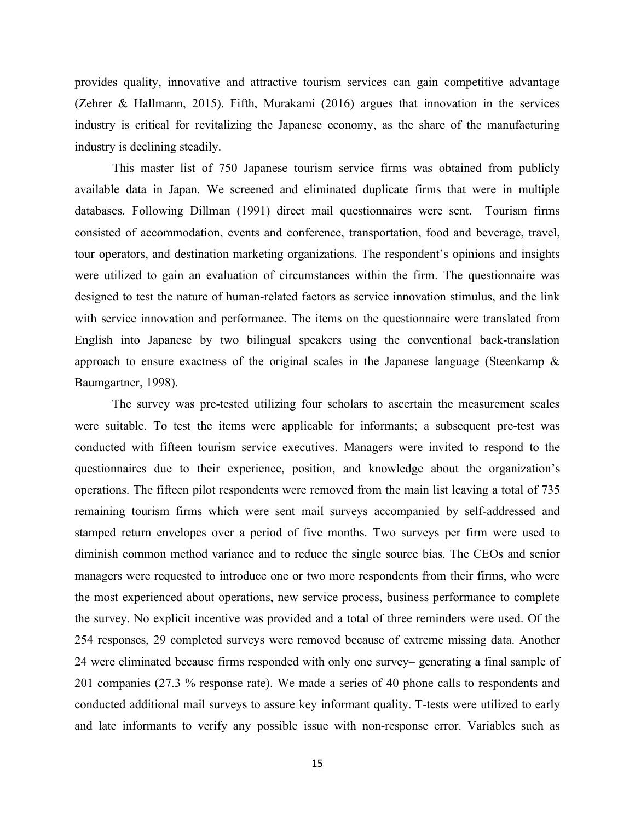provides quality, innovative and attractive tourism services can gain competitive advantage (Zehrer & Hallmann, 2015). Fifth, Murakami (2016) argues that innovation in the services industry is critical for revitalizing the Japanese economy, as the share of the manufacturing industry is declining steadily.

 This master list of 750 Japanese tourism service firms was obtained from publicly available data in Japan. We screened and eliminated duplicate firms that were in multiple databases. Following Dillman (1991) direct mail questionnaires were sent. Tourism firms consisted of accommodation, events and conference, transportation, food and beverage, travel, tour operators, and destination marketing organizations. The respondent's opinions and insights were utilized to gain an evaluation of circumstances within the firm. The questionnaire was designed to test the nature of human-related factors as service innovation stimulus, and the link with service innovation and performance. The items on the questionnaire were translated from English into Japanese by two bilingual speakers using the conventional back-translation approach to ensure exactness of the original scales in the Japanese language (Steenkamp  $\&$ Baumgartner, 1998).

The survey was pre-tested utilizing four scholars to ascertain the measurement scales were suitable. To test the items were applicable for informants; a subsequent pre-test was conducted with fifteen tourism service executives. Managers were invited to respond to the questionnaires due to their experience, position, and knowledge about the organization's operations. The fifteen pilot respondents were removed from the main list leaving a total of 735 remaining tourism firms which were sent mail surveys accompanied by self-addressed and stamped return envelopes over a period of five months. Two surveys per firm were used to diminish common method variance and to reduce the single source bias. The CEOs and senior managers were requested to introduce one or two more respondents from their firms, who were the most experienced about operations, new service process, business performance to complete the survey. No explicit incentive was provided and a total of three reminders were used. Of the 254 responses, 29 completed surveys were removed because of extreme missing data. Another 24 were eliminated because firms responded with only one survey– generating a final sample of 201 companies (27.3 % response rate). We made a series of 40 phone calls to respondents and conducted additional mail surveys to assure key informant quality. T-tests were utilized to early and late informants to verify any possible issue with non-response error. Variables such as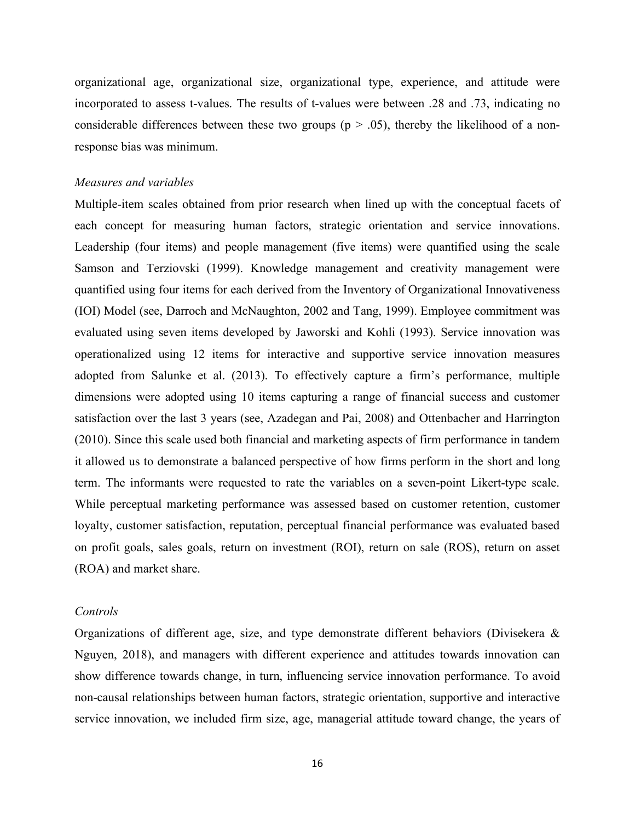organizational age, organizational size, organizational type, experience, and attitude were incorporated to assess t-values. The results of t-values were between .28 and .73, indicating no considerable differences between these two groups ( $p > .05$ ), thereby the likelihood of a nonresponse bias was minimum.

### *Measures and variables*

Multiple-item scales obtained from prior research when lined up with the conceptual facets of each concept for measuring human factors, strategic orientation and service innovations. Leadership (four items) and people management (five items) were quantified using the scale Samson and Terziovski (1999). Knowledge management and creativity management were quantified using four items for each derived from the Inventory of Organizational Innovativeness (IOI) Model (see, Darroch and McNaughton, 2002 and Tang, 1999). Employee commitment was evaluated using seven items developed by Jaworski and Kohli (1993). Service innovation was operationalized using 12 items for interactive and supportive service innovation measures adopted from Salunke et al. (2013). To effectively capture a firm's performance, multiple dimensions were adopted using 10 items capturing a range of financial success and customer satisfaction over the last 3 years (see, Azadegan and Pai, 2008) and Ottenbacher and Harrington (2010). Since this scale used both financial and marketing aspects of firm performance in tandem it allowed us to demonstrate a balanced perspective of how firms perform in the short and long term. The informants were requested to rate the variables on a seven-point Likert-type scale. While perceptual marketing performance was assessed based on customer retention, customer loyalty, customer satisfaction, reputation, perceptual financial performance was evaluated based on profit goals, sales goals, return on investment (ROI), return on sale (ROS), return on asset (ROA) and market share.

### *Controls*

Organizations of different age, size, and type demonstrate different behaviors (Divisekera & Nguyen, 2018), and managers with different experience and attitudes towards innovation can show difference towards change, in turn, influencing service innovation performance. To avoid non-causal relationships between human factors, strategic orientation, supportive and interactive service innovation, we included firm size, age, managerial attitude toward change, the years of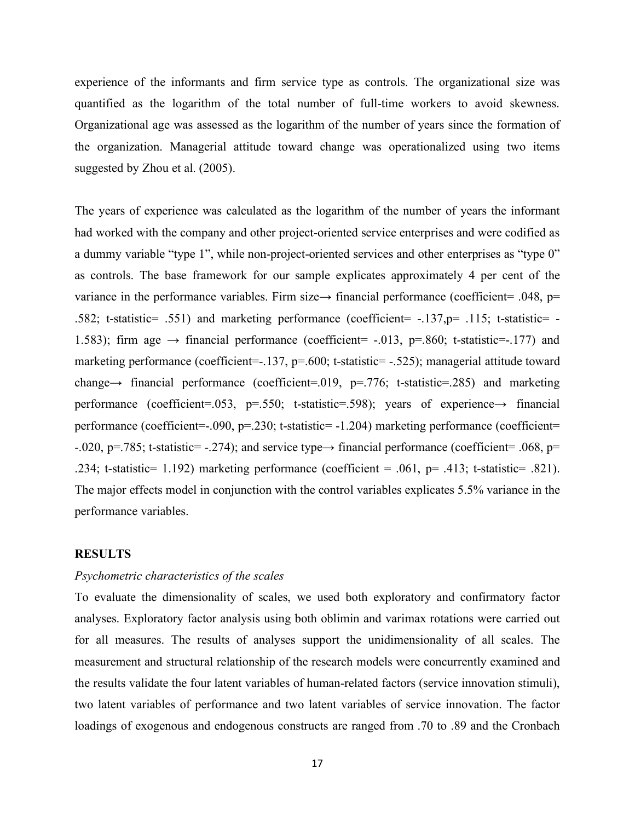experience of the informants and firm service type as controls. The organizational size was quantified as the logarithm of the total number of full-time workers to avoid skewness. Organizational age was assessed as the logarithm of the number of years since the formation of the organization. Managerial attitude toward change was operationalized using two items suggested by Zhou et al. (2005).

The years of experience was calculated as the logarithm of the number of years the informant had worked with the company and other project-oriented service enterprises and were codified as a dummy variable "type 1", while non-project-oriented services and other enterprises as "type 0" as controls. The base framework for our sample explicates approximately 4 per cent of the variance in the performance variables. Firm size  $\rightarrow$  financial performance (coefficient= .048, p= .582; t-statistic= .551) and marketing performance (coefficient= -.137,p= .115; t-statistic= - 1.583); firm age  $\rightarrow$  financial performance (coefficient= -.013, p=.860; t-statistic=-.177) and marketing performance (coefficient=-.137, p=.600; t-statistic= -.525); managerial attitude toward change→ financial performance (coefficient=.019, p=.776; t-statistic=.285) and marketing performance (coefficient=.053, p=.550; t-statistic=.598); years of experience $\rightarrow$  financial performance (coefficient=-.090, p=.230; t-statistic= -1.204) marketing performance (coefficient= -.020, p=.785; t-statistic= -.274); and service type  $\rightarrow$  financial performance (coefficient= .068, p= .234; t-statistic= 1.192) marketing performance (coefficient = .061, p= .413; t-statistic= .821). The major effects model in conjunction with the control variables explicates 5.5% variance in the performance variables.

### **RESULTS**

## *Psychometric characteristics of the scales*

To evaluate the dimensionality of scales, we used both exploratory and confirmatory factor analyses. Exploratory factor analysis using both oblimin and varimax rotations were carried out for all measures. The results of analyses support the unidimensionality of all scales. The measurement and structural relationship of the research models were concurrently examined and the results validate the four latent variables of human-related factors (service innovation stimuli), two latent variables of performance and two latent variables of service innovation. The factor loadings of exogenous and endogenous constructs are ranged from .70 to .89 and the Cronbach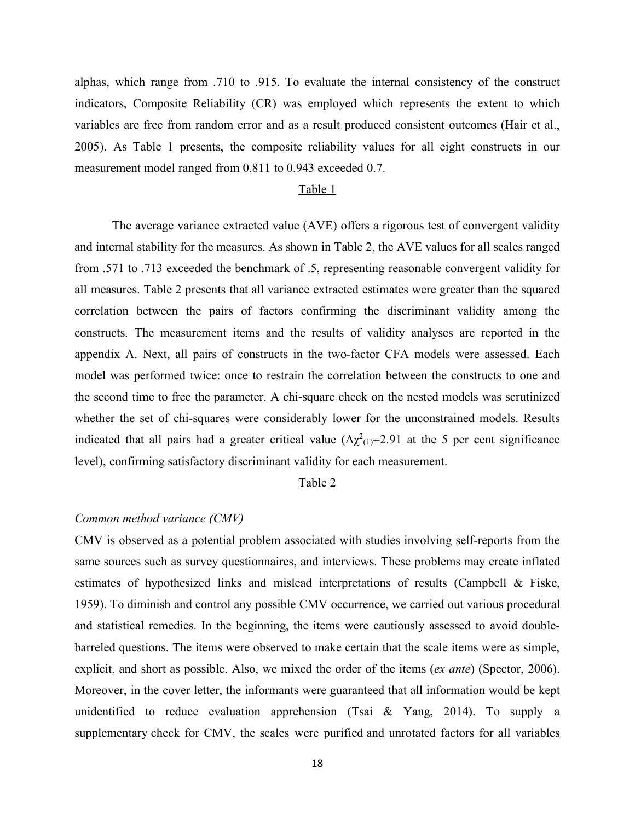alphas, which range from .710 to .915. To evaluate the internal consistency of the construct indicators, Composite Reliability (CR) was employed which represents the extent to which variables are free from random error and as a result produced consistent outcomes (Hair et al., 2005). As Table 1 presents, the composite reliability values for all eight constructs in our measurement model ranged from 0.811 to 0.943 exceeded 0.7.

#### Table 1

The average variance extracted value (AVE) offers a rigorous test of convergent validity and internal stability for the measures. As shown in Table 2, the AVE values for all scales ranged from .571 to .713 exceeded the benchmark of .5, representing reasonable convergent validity for all measures. Table 2 presents that all variance extracted estimates were greater than the squared correlation between the pairs of factors confirming the discriminant validity among the constructs. The measurement items and the results of validity analyses are reported in the appendix A. Next, all pairs of constructs in the two-factor CFA models were assessed. Each model was performed twice: once to restrain the correlation between the constructs to one and the second time to free the parameter. A chi-square check on the nested models was scrutinized whether the set of chi-squares were considerably lower for the unconstrained models. Results indicated that all pairs had a greater critical value  $(\Delta \chi^2(i)=2.91$  at the 5 per cent significance level), confirming satisfactory discriminant validity for each measurement.

#### Table 2

#### *Common method variance (CMV)*

CMV is observed as a potential problem associated with studies involving self-reports from the same sources such as survey questionnaires, and interviews. These problems may create inflated estimates of hypothesized links and mislead interpretations of results (Campbell & Fiske, 1959). To diminish and control any possible CMV occurrence, we carried out various procedural and statistical remedies. In the beginning, the items were cautiously assessed to avoid doublebarreled questions. The items were observed to make certain that the scale items were as simple, explicit, and short as possible. Also, we mixed the order of the items (*ex ante*) (Spector, 2006). Moreover, in the cover letter, the informants were guaranteed that all information would be kept unidentified to reduce evaluation apprehension (Tsai & Yang, 2014). To supply a supplementary check for CMV, the scales were purified and unrotated factors for all variables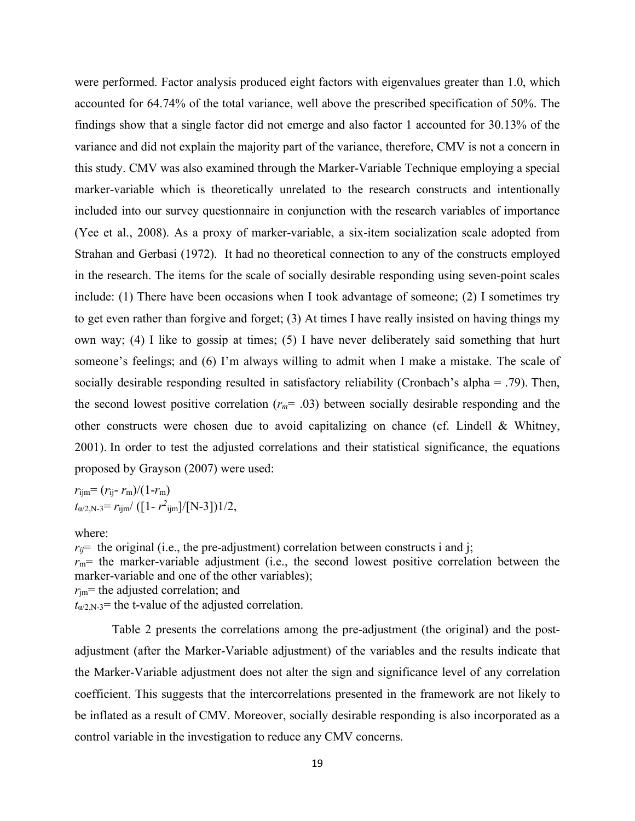were performed. Factor analysis produced eight factors with eigenvalues greater than 1.0, which accounted for 64.74% of the total variance, well above the prescribed specification of 50%. The findings show that a single factor did not emerge and also factor 1 accounted for 30.13% of the variance and did not explain the majority part of the variance, therefore, CMV is not a concern in this study. CMV was also examined through the Marker-Variable Technique employing a special marker-variable which is theoretically unrelated to the research constructs and intentionally included into our survey questionnaire in conjunction with the research variables of importance (Yee et al., 2008). As a proxy of marker-variable, a six-item socialization scale adopted from Strahan and Gerbasi (1972). It had no theoretical connection to any of the constructs employed in the research. The items for the scale of socially desirable responding using seven-point scales include: (1) There have been occasions when I took advantage of someone; (2) I sometimes try to get even rather than forgive and forget; (3) At times I have really insisted on having things my own way; (4) I like to gossip at times; (5) I have never deliberately said something that hurt someone's feelings; and (6) I'm always willing to admit when I make a mistake. The scale of socially desirable responding resulted in satisfactory reliability (Cronbach's alpha = .79). Then, the second lowest positive correlation  $(r_m = .03)$  between socially desirable responding and the other constructs were chosen due to avoid capitalizing on chance (cf. Lindell & Whitney, 2001). In order to test the adjusted correlations and their statistical significance, the equations proposed by Grayson (2007) were used:

 $r_{\text{ijm}} = (r_{\text{ij}} - r_{\text{m}})/(1 - r_{\text{m}})$  $t_{\alpha/2,N-3} = r_{ijm}/([1 - r^2_{ijm}]/[N-3])1/2,$ 

#### where:

 $r_{ij}$  the original (i.e., the pre-adjustment) correlation between constructs i and j;  $r_m$ = the marker-variable adjustment (i.e., the second lowest positive correlation between the marker-variable and one of the other variables);  $r_{\text{im}}$ = the adjusted correlation; and  $t_{\alpha/2,N-3}$ = the t-value of the adjusted correlation.

Table 2 presents the correlations among the pre-adjustment (the original) and the postadjustment (after the Marker-Variable adjustment) of the variables and the results indicate that the Marker-Variable adjustment does not alter the sign and significance level of any correlation coefficient. This suggests that the intercorrelations presented in the framework are not likely to be inflated as a result of CMV. Moreover, socially desirable responding is also incorporated as a control variable in the investigation to reduce any CMV concerns.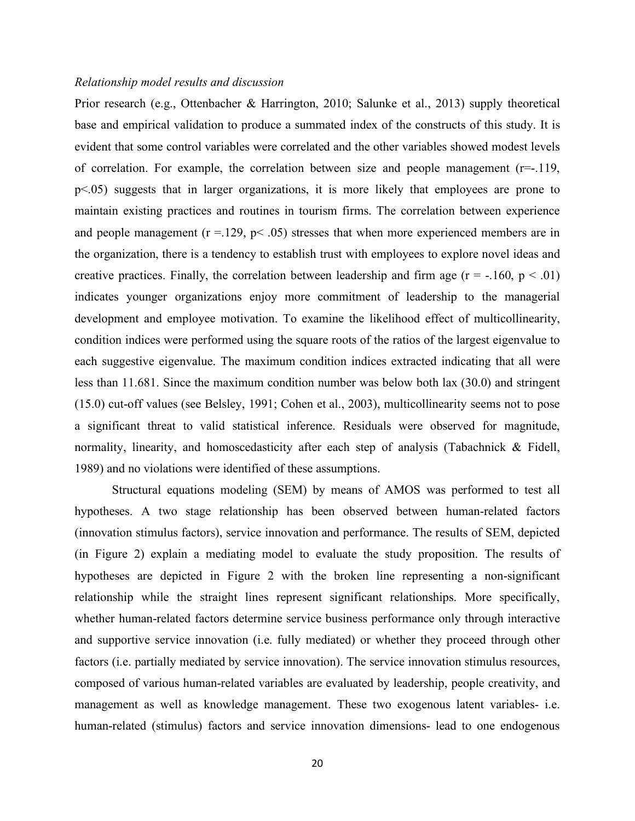#### *Relationship model results and discussion*

Prior research (e.g., Ottenbacher & Harrington, 2010; Salunke et al., 2013) supply theoretical base and empirical validation to produce a summated index of the constructs of this study. It is evident that some control variables were correlated and the other variables showed modest levels of correlation. For example, the correlation between size and people management (r=-.119, p<.05) suggests that in larger organizations, it is more likely that employees are prone to maintain existing practices and routines in tourism firms. The correlation between experience and people management  $(r = 129, p < .05)$  stresses that when more experienced members are in the organization, there is a tendency to establish trust with employees to explore novel ideas and creative practices. Finally, the correlation between leadership and firm age  $(r = -160, p < .01)$ indicates younger organizations enjoy more commitment of leadership to the managerial development and employee motivation. To examine the likelihood effect of multicollinearity, condition indices were performed using the square roots of the ratios of the largest eigenvalue to each suggestive eigenvalue. The maximum condition indices extracted indicating that all were less than 11.681. Since the maximum condition number was below both lax (30.0) and stringent (15.0) cut-off values (see Belsley, 1991; Cohen et al., 2003), multicollinearity seems not to pose a significant threat to valid statistical inference. Residuals were observed for magnitude, normality, linearity, and homoscedasticity after each step of analysis (Tabachnick & Fidell, 1989) and no violations were identified of these assumptions.

Structural equations modeling (SEM) by means of AMOS was performed to test all hypotheses. A two stage relationship has been observed between human-related factors (innovation stimulus factors), service innovation and performance. The results of SEM, depicted (in Figure 2) explain a mediating model to evaluate the study proposition. The results of hypotheses are depicted in Figure 2 with the broken line representing a non-significant relationship while the straight lines represent significant relationships. More specifically, whether human-related factors determine service business performance only through interactive and supportive service innovation (i.e. fully mediated) or whether they proceed through other factors (i.e. partially mediated by service innovation). The service innovation stimulus resources, composed of various human-related variables are evaluated by leadership, people creativity, and management as well as knowledge management. These two exogenous latent variables- i.e. human-related (stimulus) factors and service innovation dimensions- lead to one endogenous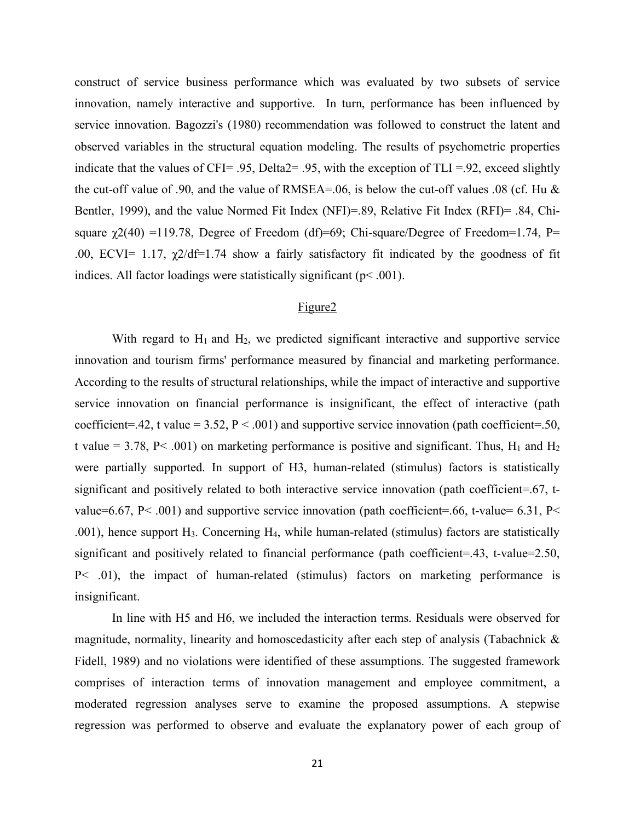construct of service business performance which was evaluated by two subsets of service innovation, namely interactive and supportive. In turn, performance has been influenced by service innovation. Bagozzi's (1980) recommendation was followed to construct the latent and observed variables in the structural equation modeling. The results of psychometric properties indicate that the values of CFI= .95, Delta2= .95, with the exception of TLI =.92, exceed slightly the cut-off value of .90, and the value of RMSEA=.06, is below the cut-off values .08 (cf. Hu & Bentler, 1999), and the value Normed Fit Index (NFI)=.89, Relative Fit Index (RFI)= .84, Chisquare  $\gamma$ 2(40) =119.78, Degree of Freedom (df)=69; Chi-square/Degree of Freedom=1.74, P= .00, ECVI= 1.17,  $\gamma$ 2/df=1.74 show a fairly satisfactory fit indicated by the goodness of fit indices. All factor loadings were statistically significant ( $p$ < .001).

## Figure2

With regard to  $H_1$  and  $H_2$ , we predicted significant interactive and supportive service innovation and tourism firms' performance measured by financial and marketing performance. According to the results of structural relationships, while the impact of interactive and supportive service innovation on financial performance is insignificant, the effect of interactive (path coefficient=.42, t value =  $3.52$ ,  $P < .001$ ) and supportive service innovation (path coefficient=.50, t value = 3.78, P< .001) on marketing performance is positive and significant. Thus,  $H_1$  and  $H_2$ were partially supported. In support of H3, human-related (stimulus) factors is statistically significant and positively related to both interactive service innovation (path coefficient=.67, tvalue=6.67, P< .001) and supportive service innovation (path coefficient=.66, t-value= 6.31, P< .001), hence support H3. Concerning H4, while human-related (stimulus) factors are statistically significant and positively related to financial performance (path coefficient=.43, t-value=2.50, P< .01), the impact of human-related (stimulus) factors on marketing performance is insignificant.

In line with H5 and H6, we included the interaction terms. Residuals were observed for magnitude, normality, linearity and homoscedasticity after each step of analysis (Tabachnick  $\&$ Fidell, 1989) and no violations were identified of these assumptions. The suggested framework comprises of interaction terms of innovation management and employee commitment, a moderated regression analyses serve to examine the proposed assumptions. A stepwise regression was performed to observe and evaluate the explanatory power of each group of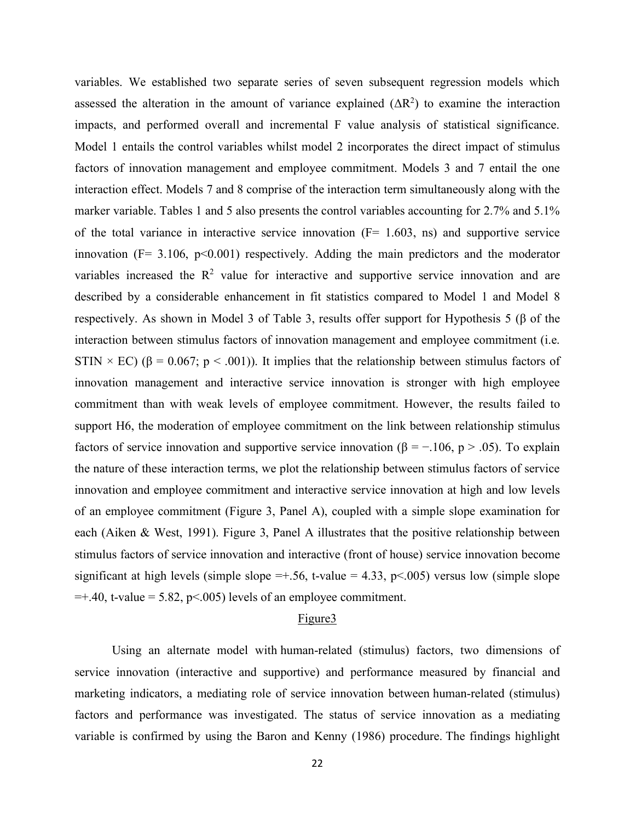variables. We established two separate series of seven subsequent regression models which assessed the alteration in the amount of variance explained  $(\Delta R^2)$  to examine the interaction impacts, and performed overall and incremental F value analysis of statistical significance. Model 1 entails the control variables whilst model 2 incorporates the direct impact of stimulus factors of innovation management and employee commitment. Models 3 and 7 entail the one interaction effect. Models 7 and 8 comprise of the interaction term simultaneously along with the marker variable. Tables 1 and 5 also presents the control variables accounting for 2.7% and 5.1% of the total variance in interactive service innovation  $(F= 1.603, \text{ ns})$  and supportive service innovation ( $F = 3.106$ ,  $p \le 0.001$ ) respectively. Adding the main predictors and the moderator variables increased the  $\mathbb{R}^2$  value for interactive and supportive service innovation and are described by a considerable enhancement in fit statistics compared to Model 1 and Model 8 respectively. As shown in Model 3 of Table 3, results offer support for Hypothesis 5 (β of the interaction between stimulus factors of innovation management and employee commitment (i.e. STIN  $\times$  EC) ( $\beta$  = 0.067; p < .001)). It implies that the relationship between stimulus factors of innovation management and interactive service innovation is stronger with high employee commitment than with weak levels of employee commitment. However, the results failed to support H6, the moderation of employee commitment on the link between relationship stimulus factors of service innovation and supportive service innovation ( $\beta = -106$ , p > .05). To explain the nature of these interaction terms, we plot the relationship between stimulus factors of service innovation and employee commitment and interactive service innovation at high and low levels of an employee commitment (Figure 3, Panel A), coupled with a simple slope examination for each (Aiken & West, 1991). Figure 3, Panel A illustrates that the positive relationship between stimulus factors of service innovation and interactive (front of house) service innovation become significant at high levels (simple slope  $=+.56$ , t-value = 4.33, p<.005) versus low (simple slope  $=+.40$ , t-value = 5.82, p<.005) levels of an employee commitment.

#### Figure3

Using an alternate model with human-related (stimulus) factors, two dimensions of service innovation (interactive and supportive) and performance measured by financial and marketing indicators, a mediating role of service innovation between human-related (stimulus) factors and performance was investigated. The status of service innovation as a mediating variable is confirmed by using the Baron and Kenny (1986) procedure. The findings highlight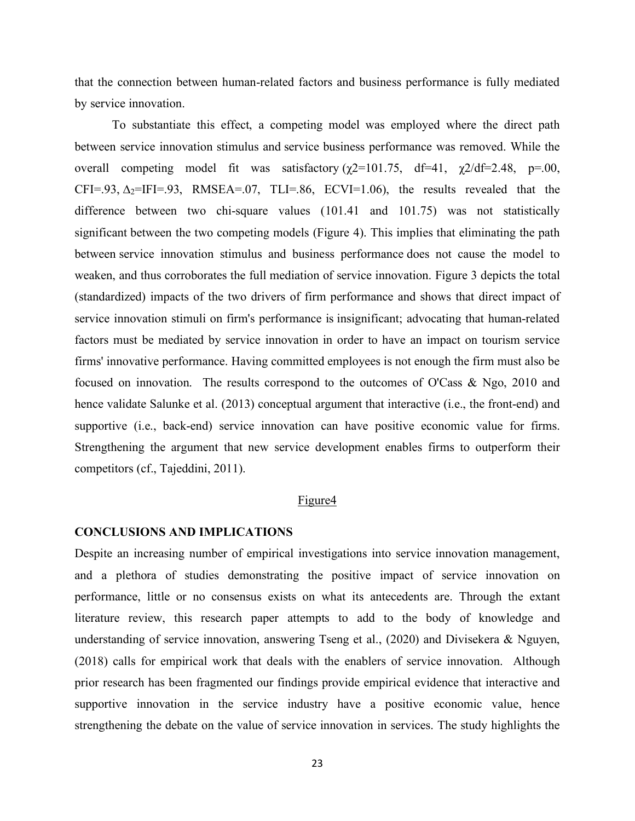that the connection between human-related factors and business performance is fully mediated by service innovation.

To substantiate this effect, a competing model was employed where the direct path between service innovation stimulus and service business performance was removed. While the overall competing model fit was satisfactory  $(\gamma 2=101.75, df=41, \gamma 2/df=2.48, p=.00,$ CFI=.93,  $\Delta_2$ =IFI=.93, RMSEA=.07, TLI=.86, ECVI=1.06), the results revealed that the difference between two chi-square values (101.41 and 101.75) was not statistically significant between the two competing models (Figure 4). This implies that eliminating the path between service innovation stimulus and business performance does not cause the model to weaken, and thus corroborates the full mediation of service innovation. Figure 3 depicts the total (standardized) impacts of the two drivers of firm performance and shows that direct impact of service innovation stimuli on firm's performance is insignificant; advocating that human-related factors must be mediated by service innovation in order to have an impact on tourism service firms' innovative performance. Having committed employees is not enough the firm must also be focused on innovation. The results correspond to the outcomes of O'Cass & Ngo, 2010 and hence validate Salunke et al. (2013) conceptual argument that interactive (i.e., the front-end) and supportive (i.e., back-end) service innovation can have positive economic value for firms. Strengthening the argument that new service development enables firms to outperform their competitors (cf., Tajeddini, 2011).

#### Figure4

## **CONCLUSIONS AND IMPLICATIONS**

Despite an increasing number of empirical investigations into service innovation management, and a plethora of studies demonstrating the positive impact of service innovation on performance, little or no consensus exists on what its antecedents are. Through the extant literature review, this research paper attempts to add to the body of knowledge and understanding of service innovation, answering Tseng et al., (2020) and Divisekera & Nguyen, (2018) calls for empirical work that deals with the enablers of service innovation. Although prior research has been fragmented our findings provide empirical evidence that interactive and supportive innovation in the service industry have a positive economic value, hence strengthening the debate on the value of service innovation in services. The study highlights the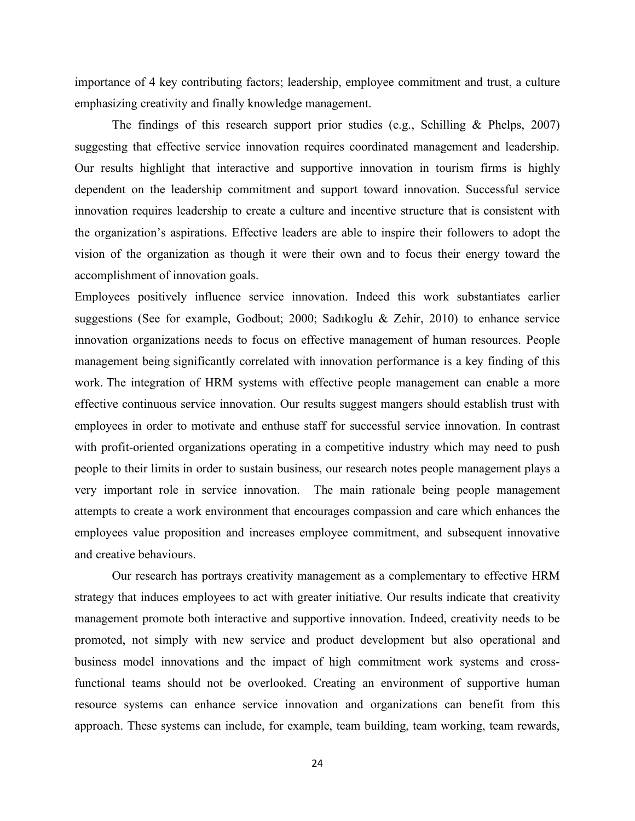importance of 4 key contributing factors; leadership, employee commitment and trust, a culture emphasizing creativity and finally knowledge management.

The findings of this research support prior studies (e.g., Schilling & Phelps, 2007) suggesting that effective service innovation requires coordinated management and leadership. Our results highlight that interactive and supportive innovation in tourism firms is highly dependent on the leadership commitment and support toward innovation. Successful service innovation requires leadership to create a culture and incentive structure that is consistent with the organization's aspirations. Effective leaders are able to inspire their followers to adopt the vision of the organization as though it were their own and to focus their energy toward the accomplishment of innovation goals.

Employees positively influence service innovation. Indeed this work substantiates earlier suggestions (See for example, Godbout; 2000; Sadıkoglu & Zehir, 2010) to enhance service innovation organizations needs to focus on effective management of human resources. People management being significantly correlated with innovation performance is a key finding of this work. The integration of HRM systems with effective people management can enable a more effective continuous service innovation. Our results suggest mangers should establish trust with employees in order to motivate and enthuse staff for successful service innovation. In contrast with profit-oriented organizations operating in a competitive industry which may need to push people to their limits in order to sustain business, our research notes people management plays a very important role in service innovation. The main rationale being people management attempts to create a work environment that encourages compassion and care which enhances the employees value proposition and increases employee commitment, and subsequent innovative and creative behaviours.

Our research has portrays creativity management as a complementary to effective HRM strategy that induces employees to act with greater initiative. Our results indicate that creativity management promote both interactive and supportive innovation. Indeed, creativity needs to be promoted, not simply with new service and product development but also operational and business model innovations and the impact of high commitment work systems and crossfunctional teams should not be overlooked. Creating an environment of supportive human resource systems can enhance service innovation and organizations can benefit from this approach. These systems can include, for example, team building, team working, team rewards,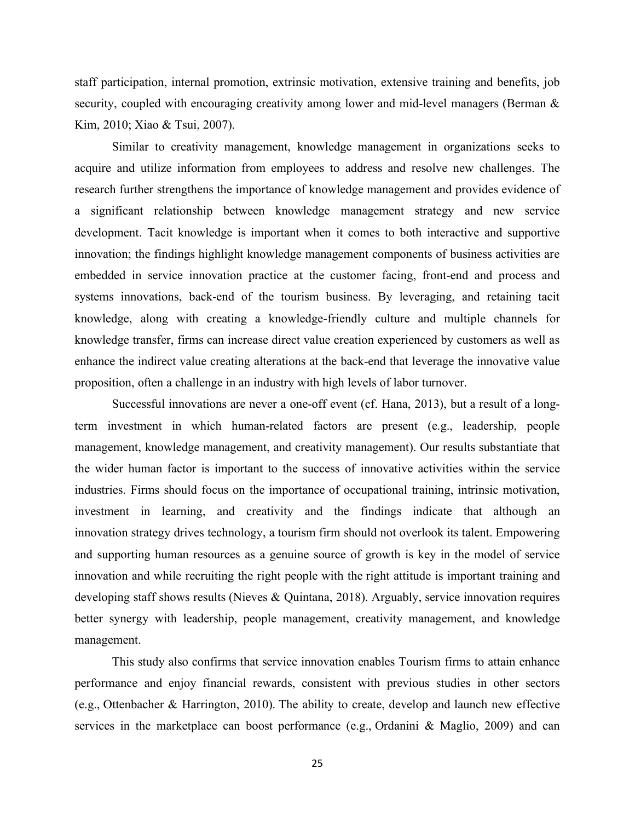staff participation, internal promotion, extrinsic motivation, extensive training and benefits, job security, coupled with encouraging creativity among lower and mid-level managers (Berman & Kim, 2010; Xiao & Tsui, 2007).

Similar to creativity management, knowledge management in organizations seeks to acquire and utilize information from employees to address and resolve new challenges. The research further strengthens the importance of knowledge management and provides evidence of a significant relationship between knowledge management strategy and new service development. Tacit knowledge is important when it comes to both interactive and supportive innovation; the findings highlight knowledge management components of business activities are embedded in service innovation practice at the customer facing, front-end and process and systems innovations, back-end of the tourism business. By leveraging, and retaining tacit knowledge, along with creating a knowledge-friendly culture and multiple channels for knowledge transfer, firms can increase direct value creation experienced by customers as well as enhance the indirect value creating alterations at the back-end that leverage the innovative value proposition, often a challenge in an industry with high levels of labor turnover.

Successful innovations are never a one-off event (cf. Hana, 2013), but a result of a longterm investment in which human-related factors are present (e.g., leadership, people management, knowledge management, and creativity management). Our results substantiate that the wider human factor is important to the success of innovative activities within the service industries. Firms should focus on the importance of occupational training, intrinsic motivation, investment in learning, and creativity and the findings indicate that although an innovation strategy drives technology, a tourism firm should not overlook its talent. Empowering and supporting human resources as a genuine source of growth is key in the model of service innovation and while recruiting the right people with the right attitude is important training and developing staff shows results (Nieves & Quintana, 2018). Arguably, service innovation requires better synergy with leadership, people management, creativity management, and knowledge management.

This study also confirms that service innovation enables Tourism firms to attain enhance performance and enjoy financial rewards, consistent with previous studies in other sectors (e.g., Ottenbacher & Harrington, 2010). The ability to create, develop and launch new effective services in the marketplace can boost performance (e.g., Ordanini & Maglio, 2009) and can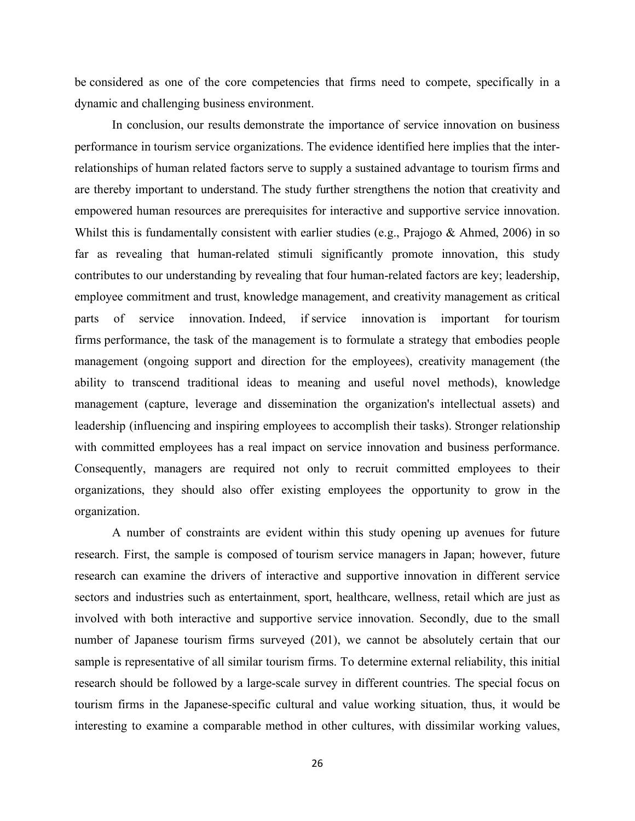be considered as one of the core competencies that firms need to compete, specifically in a dynamic and challenging business environment.

In conclusion, our results demonstrate the importance of service innovation on business performance in tourism service organizations. The evidence identified here implies that the interrelationships of human related factors serve to supply a sustained advantage to tourism firms and are thereby important to understand. The study further strengthens the notion that creativity and empowered human resources are prerequisites for interactive and supportive service innovation. Whilst this is fundamentally consistent with earlier studies (e.g., Prajogo & Ahmed, 2006) in so far as revealing that human-related stimuli significantly promote innovation, this study contributes to our understanding by revealing that four human-related factors are key; leadership, employee commitment and trust, knowledge management, and creativity management as critical parts of service innovation. Indeed, if service innovation is important for tourism firms performance, the task of the management is to formulate a strategy that embodies people management (ongoing support and direction for the employees), creativity management (the ability to transcend traditional ideas to meaning and useful novel methods), knowledge management (capture, leverage and dissemination the organization's intellectual assets) and leadership (influencing and inspiring employees to accomplish their tasks). Stronger relationship with committed employees has a real impact on service innovation and business performance. Consequently, managers are required not only to recruit committed employees to their organizations, they should also offer existing employees the opportunity to grow in the organization.

A number of constraints are evident within this study opening up avenues for future research. First, the sample is composed of tourism service managers in Japan; however, future research can examine the drivers of interactive and supportive innovation in different service sectors and industries such as entertainment, sport, healthcare, wellness, retail which are just as involved with both interactive and supportive service innovation. Secondly, due to the small number of Japanese tourism firms surveyed (201), we cannot be absolutely certain that our sample is representative of all similar tourism firms. To determine external reliability, this initial research should be followed by a large-scale survey in different countries. The special focus on tourism firms in the Japanese-specific cultural and value working situation, thus, it would be interesting to examine a comparable method in other cultures, with dissimilar working values,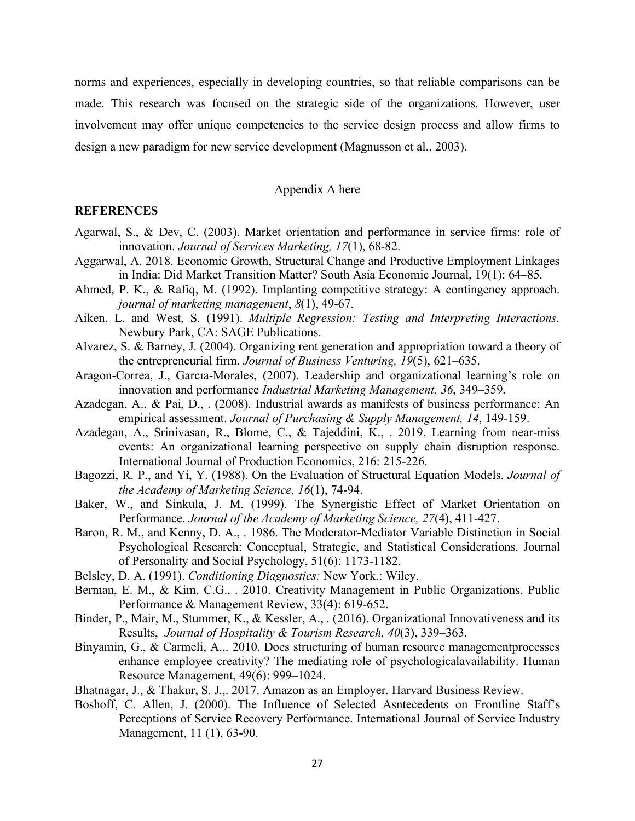norms and experiences, especially in developing countries, so that reliable comparisons can be made. This research was focused on the strategic side of the organizations. However, user involvement may offer unique competencies to the service design process and allow firms to design a new paradigm for new service development (Magnusson et al., 2003).

### Appendix A here

## **REFERENCES**

- Agarwal, S., & Dev, C. (2003). Market orientation and performance in service firms: role of innovation. *Journal of Services Marketing, 17*(1), 68-82.
- Aggarwal, A. 2018. Economic Growth, Structural Change and Productive Employment Linkages in India: Did Market Transition Matter? South Asia Economic Journal, 19(1): 64–85.
- Ahmed, P. K., & Rafiq, M. (1992). Implanting competitive strategy: A contingency approach. *journal of marketing management*, *8*(1), 49-67.
- Aiken, L. and West, S. (1991). *Multiple Regression: Testing and Interpreting Interactions*. Newbury Park, CA: SAGE Publications.
- Alvarez, S. & Barney, J. (2004). Organizing rent generation and appropriation toward a theory of the entrepreneurial firm. *Journal of Business Venturing, 19*(5), 621–635.
- Aragon-Correa, J., Garcıa-Morales, (2007). Leadership and organizational learning's role on innovation and performance *Industrial Marketing Management, 36*, 349–359.
- Azadegan, A., & Pai, D., . (2008). Industrial awards as manifests of business performance: An empirical assessment. *Journal of Purchasing & Supply Management, 14*, 149-159.
- Azadegan, A., Srinivasan, R., Blome, C., & Tajeddini, K., . 2019. Learning from near-miss events: An organizational learning perspective on supply chain disruption response. International Journal of Production Economics, 216: 215-226.
- Bagozzi, R. P., and Yi, Y. (1988). On the Evaluation of Structural Equation Models. *Journal of the Academy of Marketing Science, 16*(1), 74-94.
- Baker, W., and Sinkula, J. M. (1999). The Synergistic Effect of Market Orientation on Performance. *Journal of the Academy of Marketing Science, 27*(4), 411-427.
- Baron, R. M., and Kenny, D. A., . 1986. The Moderator-Mediator Variable Distinction in Social Psychological Research: Conceptual, Strategic, and Statistical Considerations. Journal of Personality and Social Psychology, 51(6): 1173-1182.
- Belsley, D. A. (1991). *Conditioning Diagnostics:* New York.: Wiley.
- Berman, E. M., & Kim, C.G., . 2010. Creativity Management in Public Organizations. Public Performance & Management Review, 33(4): 619-652.
- Binder, P., Mair, M., Stummer, K., & Kessler, A., . (2016). Organizational Innovativeness and its Results, *Journal of Hospitality & Tourism Research, 40*(3), 339–363.
- Binyamin, G., & Carmeli, A.,. 2010. Does structuring of human resource managementprocesses enhance employee creativity? The mediating role of psychologicalavailability. Human Resource Management, 49(6): 999–1024.
- Bhatnagar, J., & Thakur, S. J.,. 2017. Amazon as an Employer. Harvard Business Review.
- Boshoff, C. Allen, J. (2000). The Influence of Selected Asntecedents on Frontline Staff's Perceptions of Service Recovery Performance. International Journal of Service Industry Management, 11 (1), 63-90.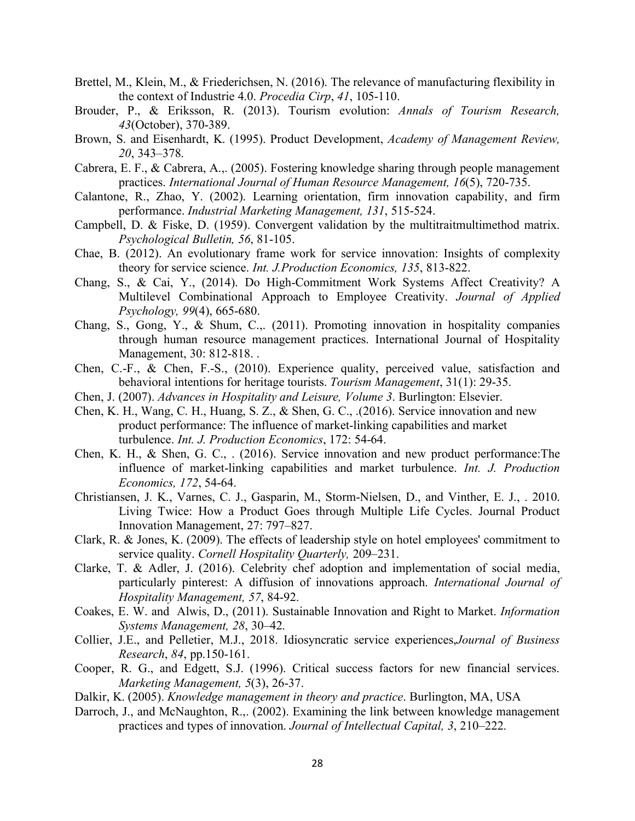- Brettel, M., Klein, M., & Friederichsen, N. (2016). The relevance of manufacturing flexibility in the context of Industrie 4.0. *Procedia Cirp*, *41*, 105-110.
- Brouder, P., & Eriksson, R. (2013). Tourism evolution: *Annals of Tourism Research, 43*(October), 370-389.
- Brown, S. and Eisenhardt, K. (1995). Product Development, *Academy of Management Review, 20*, 343–378.
- Cabrera, E. F., & Cabrera, A.,. (2005). Fostering knowledge sharing through people management practices. *International Journal of Human Resource Management, 16*(5), 720-735.
- Calantone, R., Zhao, Y. (2002). Learning orientation, firm innovation capability, and firm performance. *Industrial Marketing Management, 131*, 515-524.
- Campbell, D. & Fiske, D. (1959). Convergent validation by the multitraitmultimethod matrix. *Psychological Bulletin, 56*, 81-105.
- Chae, B. (2012). An evolutionary frame work for service innovation: Insights of complexity theory for service science. *Int. J.Production Economics, 135*, 813-822.
- Chang, S., & Cai, Y., (2014). Do High-Commitment Work Systems Affect Creativity? A Multilevel Combinational Approach to Employee Creativity. *Journal of Applied Psychology, 99*(4), 665-680.
- Chang, S., Gong, Y., & Shum, C.,. (2011). Promoting innovation in hospitality companies through human resource management practices. International Journal of Hospitality Management, 30: 812-818. .
- Chen, C.-F., & Chen, F.-S., (2010). Experience quality, perceived value, satisfaction and behavioral intentions for heritage tourists. *Tourism Management*, 31(1): 29-35.
- Chen, J. (2007). *Advances in Hospitality and Leisure, Volume 3*. Burlington: Elsevier.
- Chen, K. H., Wang, C. H., Huang, S. Z., & Shen, G. C., .(2016). Service innovation and new product performance: The influence of market-linking capabilities and market turbulence. *Int. J. Production Economics*, 172: 54-64.
- Chen, K. H., & Shen, G. C., . (2016). Service innovation and new product performance:The influence of market-linking capabilities and market turbulence. *Int. J. Production Economics, 172*, 54-64.
- Christiansen, J. K., Varnes, C. J., Gasparin, M., Storm-Nielsen, D., and Vinther, E. J., . 2010. Living Twice: How a Product Goes through Multiple Life Cycles. Journal Product Innovation Management, 27: 797–827.
- Clark, R. & Jones, K. (2009). The effects of leadership style on hotel employees' commitment to service quality. *Cornell Hospitality Quarterly,* 209–231.
- Clarke, T. & Adler, J. (2016). Celebrity chef adoption and implementation of social media, particularly pinterest: A diffusion of innovations approach. *International Journal of Hospitality Management, 57*, 84-92.
- Coakes, E. W. and Alwis, D., (2011). Sustainable Innovation and Right to Market. *Information Systems Management, 28*, 30–42.
- Collier, J.E., and Pelletier, M.J., 2018. Idiosyncratic service experiences,*Journal of Business Research*, *84*, pp.150-161.
- Cooper, R. G., and Edgett, S.J. (1996). Critical success factors for new financial services. *Marketing Management, 5*(3), 26-37.
- Dalkir, K. (2005). *Knowledge management in theory and practice*. Burlington, MA, USA
- Darroch, J., and McNaughton, R.,. (2002). Examining the link between knowledge management practices and types of innovation. *Journal of Intellectual Capital, 3*, 210–222.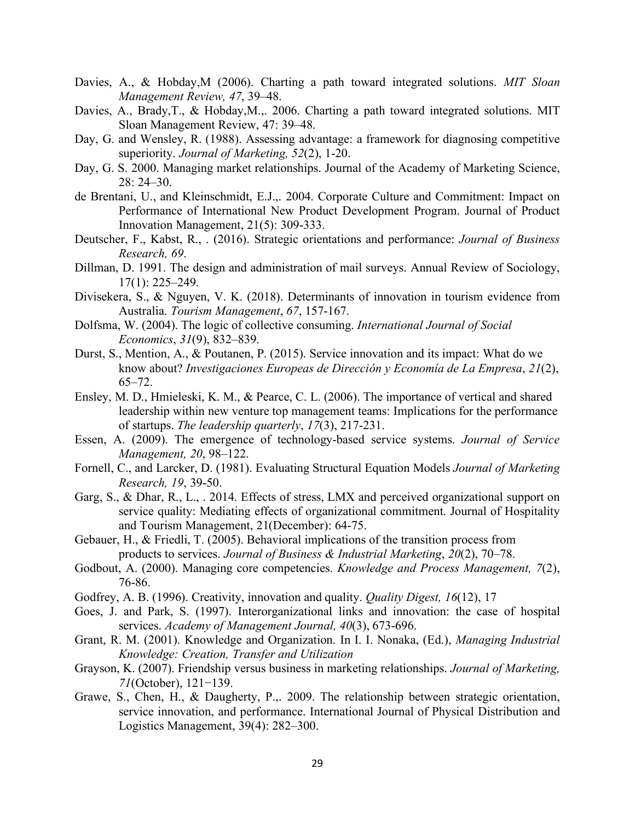- Davies, A., & Hobday,M (2006). Charting a path toward integrated solutions. *MIT Sloan Management Review, 47*, 39–48.
- Davies, A., Brady,T., & Hobday,M.,. 2006. Charting a path toward integrated solutions. MIT Sloan Management Review, 47: 39–48.
- Day, G. and Wensley, R. (1988). Assessing advantage: a framework for diagnosing competitive superiority. *Journal of Marketing, 52*(2), 1-20.
- Day, G. S. 2000. Managing market relationships. Journal of the Academy of Marketing Science, 28: 24–30.
- de Brentani, U., and Kleinschmidt, E.J.,. 2004. Corporate Culture and Commitment: Impact on Performance of International New Product Development Program. Journal of Product Innovation Management, 21(5): 309-333.
- Deutscher, F., Kabst, R., . (2016). Strategic orientations and performance: *Journal of Business Research, 69*.
- Dillman, D. 1991. The design and administration of mail surveys. Annual Review of Sociology, 17(1): 225–249.
- Divisekera, S., & Nguyen, V. K. (2018). Determinants of innovation in tourism evidence from Australia. *Tourism Management*, *67*, 157-167.
- Dolfsma, W. (2004). The logic of collective consuming. *International Journal of Social Economics*, *31*(9), 832–839.
- Durst, S., Mention, A., & Poutanen, P. (2015). Service innovation and its impact: What do we know about? *Investigaciones Europeas de Dirección y Economía de La Empresa*, *21*(2), 65–72.
- Ensley, M. D., Hmieleski, K. M., & Pearce, C. L. (2006). The importance of vertical and shared leadership within new venture top management teams: Implications for the performance of startups. *The leadership quarterly*, *17*(3), 217-231.
- Essen, A. (2009). The emergence of technology-based service systems. *Journal of Service Management, 20*, 98–122.
- Fornell, C., and Larcker, D. (1981). Evaluating Structural Equation Models *Journal of Marketing Research, 19*, 39-50.
- Garg, S., & Dhar, R., L., . 2014. Effects of stress, LMX and perceived organizational support on service quality: Mediating effects of organizational commitment. Journal of Hospitality and Tourism Management, 21(December): 64-75.
- Gebauer, H., & Friedli, T. (2005). Behavioral implications of the transition process from products to services. *Journal of Business & Industrial Marketing*, *20*(2), 70–78.
- Godbout, A. (2000). Managing core competencies. *Knowledge and Process Management, 7*(2), 76-86.
- Godfrey, A. B. (1996). Creativity, innovation and quality. *Quality Digest, 16*(12), 17
- Goes, J. and Park, S. (1997). Interorganizational links and innovation: the case of hospital services. *Academy of Management Journal, 40*(3), 673-696.
- Grant, R. M. (2001). Knowledge and Organization. In I. I. Nonaka, (Ed.), *Managing Industrial Knowledge: Creation, Transfer and Utilization*
- Grayson, K. (2007). Friendship versus business in marketing relationships. *Journal of Marketing, 71*(October), 121−139.
- Grawe, S., Chen, H., & Daugherty, P.,. 2009. The relationship between strategic orientation, service innovation, and performance. International Journal of Physical Distribution and Logistics Management, 39(4): 282–300.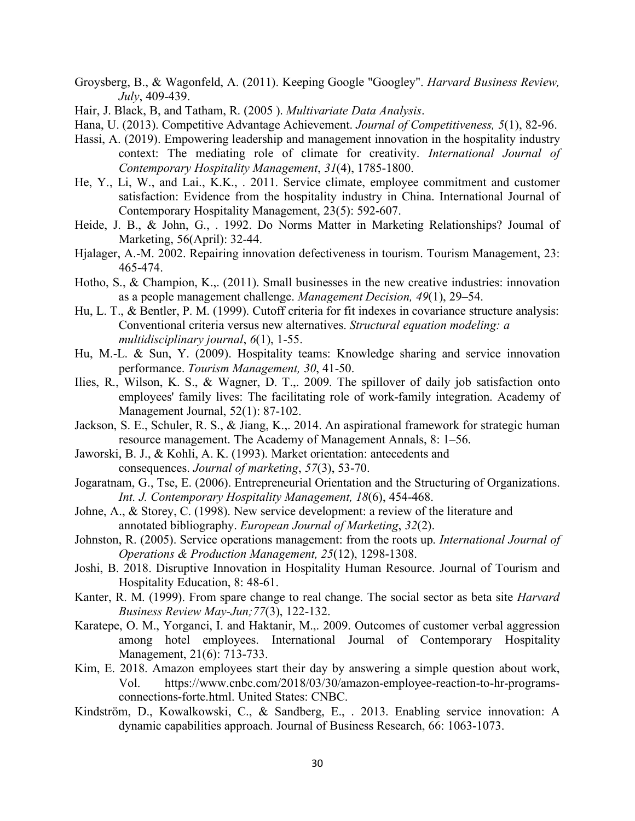- Groysberg, B., & Wagonfeld, A. (2011). Keeping Google "Googley". *Harvard Business Review, July*, 409-439.
- Hair, J. Black, B, and Tatham, R. (2005 ). *Multivariate Data Analysis*.
- Hana, U. (2013). Competitive Advantage Achievement. *Journal of Competitiveness, 5*(1), 82-96.
- Hassi, A. (2019). Empowering leadership and management innovation in the hospitality industry context: The mediating role of climate for creativity. *International Journal of Contemporary Hospitality Management*, *31*(4), 1785-1800.
- He, Y., Li, W., and Lai., K.K., . 2011. Service climate, employee commitment and customer satisfaction: Evidence from the hospitality industry in China. International Journal of Contemporary Hospitality Management, 23(5): 592-607.
- Heide, J. B., & John, G., . 1992. Do Norms Matter in Marketing Relationships? Joumal of Marketing, 56(April): 32-44.
- Hjalager, A.-M. 2002. Repairing innovation defectiveness in tourism. Tourism Management, 23: 465-474.
- Hotho, S., & Champion, K.,. (2011). Small businesses in the new creative industries: innovation as a people management challenge. *Management Decision, 49*(1), 29–54.
- Hu, L. T., & Bentler, P. M. (1999). Cutoff criteria for fit indexes in covariance structure analysis: Conventional criteria versus new alternatives. *Structural equation modeling: a multidisciplinary journal*, *6*(1), 1-55.
- Hu, M.-L. & Sun, Y. (2009). Hospitality teams: Knowledge sharing and service innovation performance. *Tourism Management, 30*, 41-50.
- Ilies, R., Wilson, K. S., & Wagner, D. T.,. 2009. The spillover of daily job satisfaction onto employees' family lives: The facilitating role of work-family integration. Academy of Management Journal, 52(1): 87-102.
- Jackson, S. E., Schuler, R. S., & Jiang, K.,. 2014. An aspirational framework for strategic human resource management. The Academy of Management Annals, 8: 1–56.
- Jaworski, B. J., & Kohli, A. K. (1993). Market orientation: antecedents and consequences. *Journal of marketing*, *57*(3), 53-70.
- Jogaratnam, G., Tse, E. (2006). Entrepreneurial Orientation and the Structuring of Organizations. *Int. J. Contemporary Hospitality Management, 18*(6), 454-468.
- Johne, A., & Storey, C. (1998). New service development: a review of the literature and annotated bibliography. *European Journal of Marketing*, *32*(2).
- Johnston, R. (2005). Service operations management: from the roots up. *International Journal of Operations & Production Management, 25*(12), 1298-1308.
- Joshi, B. 2018. Disruptive Innovation in Hospitality Human Resource. Journal of Tourism and Hospitality Education, 8: 48-61.
- Kanter, R. M. (1999). From spare change to real change. The social sector as beta site *Harvard Business Review May-Jun;77*(3), 122-132.
- Karatepe, O. M., Yorganci, I. and Haktanir, M.,. 2009. Outcomes of customer verbal aggression among hotel employees. International Journal of Contemporary Hospitality Management, 21(6): 713-733.
- Kim, E. 2018. Amazon employees start their day by answering a simple question about work, Vol. https://www.cnbc.com/2018/03/30/amazon-employee-reaction-to-hr-programsconnections-forte.html. United States: CNBC.
- Kindström, D., Kowalkowski, C., & Sandberg, E., . 2013. Enabling service innovation: A dynamic capabilities approach. Journal of Business Research, 66: 1063-1073.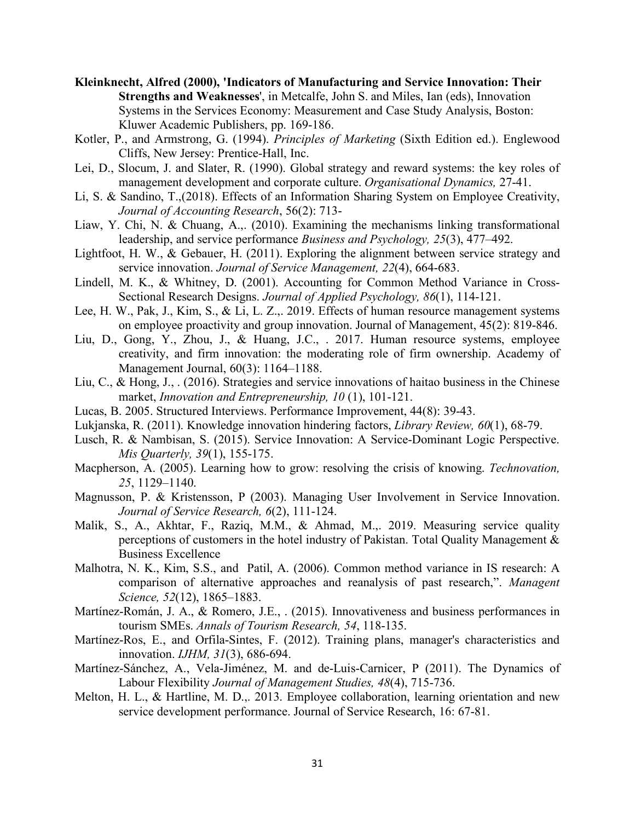- **Kleinknecht, Alfred (2000), 'Indicators of Manufacturing and Service Innovation: Their Strengths and Weaknesses**', in Metcalfe, John S. and Miles, Ian (eds), Innovation Systems in the Services Economy: Measurement and Case Study Analysis, Boston: Kluwer Academic Publishers, pp. 169-186.
- Kotler, P., and Armstrong, G. (1994). *Principles of Marketing* (Sixth Edition ed.). Englewood Cliffs, New Jersey: Prentice-Hall, Inc.
- Lei, D., Slocum, J. and Slater, R. (1990). Global strategy and reward systems: the key roles of management development and corporate culture. *Organisational Dynamics,* 27-41.
- Li, S. & Sandino, T.,(2018). Effects of an Information Sharing System on Employee Creativity, *Journal of Accounting Research*, 56(2): 713-
- Liaw, Y. Chi, N. & Chuang, A.,. (2010). Examining the mechanisms linking transformational leadership, and service performance *Business and Psychology, 25*(3), 477–492.
- Lightfoot, H. W., & Gebauer, H. (2011). Exploring the alignment between service strategy and service innovation. *Journal of Service Management, 22*(4), 664-683.
- Lindell, M. K., & Whitney, D. (2001). Accounting for Common Method Variance in Cross-Sectional Research Designs. *Journal of Applied Psychology, 86*(1), 114-121.
- Lee, H. W., Pak, J., Kim, S., & Li, L. Z.,. 2019. Effects of human resource management systems on employee proactivity and group innovation. Journal of Management, 45(2): 819-846.
- Liu, D., Gong, Y., Zhou, J., & Huang, J.C., . 2017. Human resource systems, employee creativity, and firm innovation: the moderating role of firm ownership. Academy of Management Journal, 60(3): 1164–1188.
- Liu, C., & Hong, J., . (2016). Strategies and service innovations of haitao business in the Chinese market, *Innovation and Entrepreneurship, 10* (1), 101-121.
- Lucas, B. 2005. Structured Interviews. Performance Improvement, 44(8): 39-43.
- Lukjanska, R. (2011). Knowledge innovation hindering factors, *Library Review, 60*(1), 68-79.
- Lusch, R. & Nambisan, S. (2015). Service Innovation: A Service-Dominant Logic Perspective. *Mis Quarterly, 39*(1), 155-175.
- Macpherson, A. (2005). Learning how to grow: resolving the crisis of knowing. *Technovation, 25*, 1129–1140.
- Magnusson, P. & Kristensson, P (2003). Managing User Involvement in Service Innovation. *Journal of Service Research, 6*(2), 111-124.
- Malik, S., A., Akhtar, F., Raziq, M.M., & Ahmad, M.,. 2019. Measuring service quality perceptions of customers in the hotel industry of Pakistan. Total Quality Management & Business Excellence
- Malhotra, N. K., Kim, S.S., and Patil, A. (2006). Common method variance in IS research: A comparison of alternative approaches and reanalysis of past research,". *Managent Science, 52*(12), 1865–1883.
- Martínez-Román, J. A., & Romero, J.E., . (2015). Innovativeness and business performances in tourism SMEs. *Annals of Tourism Research, 54*, 118-135.
- Martínez-Ros, E., and Orfila-Sintes, F. (2012). Training plans, manager's characteristics and innovation. *IJHM, 31*(3), 686-694.
- Martínez-Sánchez, A., Vela-Jiménez, M. and de-Luis-Carnicer, P (2011). The Dynamics of Labour Flexibility *Journal of Management Studies, 48*(4), 715-736.
- Melton, H. L., & Hartline, M. D.,. 2013. Employee collaboration, learning orientation and new service development performance. Journal of Service Research, 16: 67-81.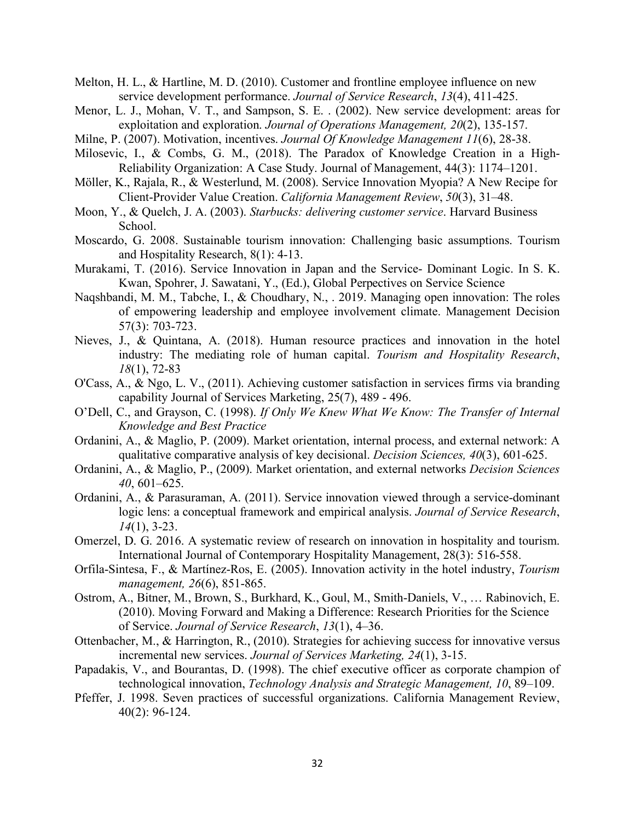- Melton, H. L., & Hartline, M. D. (2010). Customer and frontline employee influence on new service development performance. *Journal of Service Research*, *13*(4), 411-425.
- Menor, L. J., Mohan, V. T., and Sampson, S. E. . (2002). New service development: areas for exploitation and exploration. *Journal of Operations Management, 20*(2), 135-157.
- Milne, P. (2007). Motivation, incentives. *Journal Of Knowledge Management 11*(6), 28-38.
- Milosevic, I., & Combs, G. M., (2018). The Paradox of Knowledge Creation in a High-Reliability Organization: A Case Study. Journal of Management, 44(3): 1174–1201.
- Möller, K., Rajala, R., & Westerlund, M. (2008). Service Innovation Myopia? A New Recipe for Client-Provider Value Creation. *California Management Review*, *50*(3), 31–48.
- Moon, Y., & Quelch, J. A. (2003). *Starbucks: delivering customer service*. Harvard Business School.
- Moscardo, G. 2008. Sustainable tourism innovation: Challenging basic assumptions. Tourism and Hospitality Research, 8(1): 4-13.
- Murakami, T. (2016). Service Innovation in Japan and the Service- Dominant Logic. In S. K. Kwan, Spohrer, J. Sawatani, Y., (Ed.), Global Perpectives on Service Science
- Naqshbandi, M. M., Tabche, I., & Choudhary, N., . 2019. Managing open innovation: The roles of empowering leadership and employee involvement climate. Management Decision 57(3): 703-723.
- Nieves, J., & Quintana, A. (2018). Human resource practices and innovation in the hotel industry: The mediating role of human capital. *Tourism and Hospitality Research*, *18*(1), 72-83
- O'Cass, A., & Ngo, L. V., (2011). Achieving customer satisfaction in services firms via branding capability Journal of Services Marketing, 25(7), 489 - 496.
- O'Dell, C., and Grayson, C. (1998). *If Only We Knew What We Know: The Transfer of Internal Knowledge and Best Practice*
- Ordanini, A., & Maglio, P. (2009). Market orientation, internal process, and external network: A qualitative comparative analysis of key decisional. *Decision Sciences, 40*(3), 601-625.
- Ordanini, A., & Maglio, P., (2009). Market orientation, and external networks *Decision Sciences 40*, 601–625.
- Ordanini, A., & Parasuraman, A. (2011). Service innovation viewed through a service-dominant logic lens: a conceptual framework and empirical analysis. *Journal of Service Research*, *14*(1), 3-23.
- Omerzel, D. G. 2016. A systematic review of research on innovation in hospitality and tourism. International Journal of Contemporary Hospitality Management, 28(3): 516-558.
- Orfila-Sintesa, F., & Martínez-Ros, E. (2005). Innovation activity in the hotel industry, *Tourism management, 26*(6), 851-865.
- Ostrom, A., Bitner, M., Brown, S., Burkhard, K., Goul, M., Smith-Daniels, V., … Rabinovich, E. (2010). Moving Forward and Making a Difference: Research Priorities for the Science of Service. *Journal of Service Research*, *13*(1), 4–36.
- Ottenbacher, M., & Harrington, R., (2010). Strategies for achieving success for innovative versus incremental new services. *Journal of Services Marketing, 24*(1), 3-15.
- Papadakis, V., and Bourantas, D. (1998). The chief executive officer as corporate champion of technological innovation, *Technology Analysis and Strategic Management, 10*, 89–109.
- Pfeffer, J. 1998. Seven practices of successful organizations. California Management Review, 40(2): 96-124.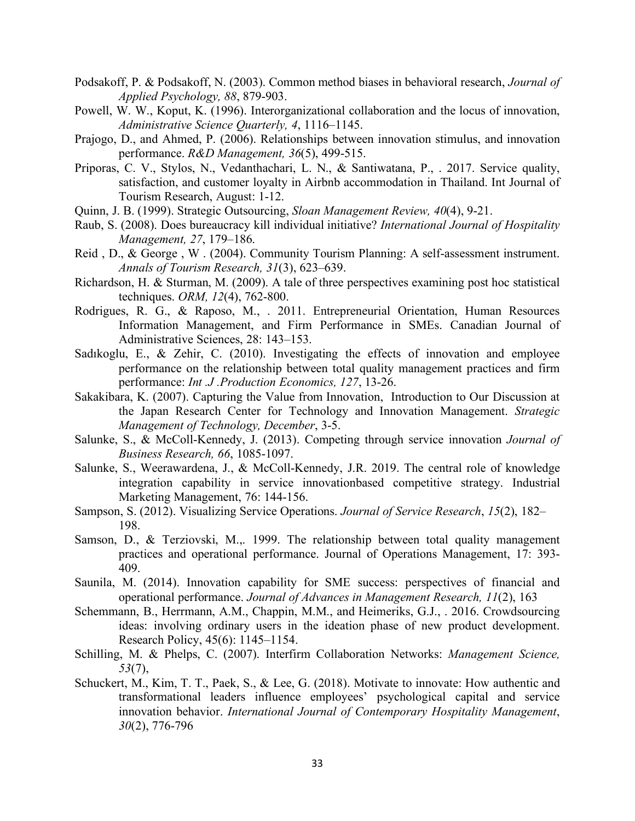- Podsakoff, P. & Podsakoff, N. (2003). Common method biases in behavioral research, *Journal of Applied Psychology, 88*, 879-903.
- Powell, W. W., Koput, K. (1996). Interorganizational collaboration and the locus of innovation, *Administrative Science Quarterly, 4*, 1116–1145.
- Prajogo, D., and Ahmed, P. (2006). Relationships between innovation stimulus, and innovation performance. *R&D Management, 36*(5), 499-515.
- Priporas, C. V., Stylos, N., Vedanthachari, L. N., & Santiwatana, P., . 2017. Service quality, satisfaction, and customer loyalty in Airbnb accommodation in Thailand. Int Journal of Tourism Research, August: 1-12.
- Quinn, J. B. (1999). Strategic Outsourcing, *Sloan Management Review, 40*(4), 9-21.
- Raub, S. (2008). Does bureaucracy kill individual initiative? *International Journal of Hospitality Management, 27*, 179–186.
- Reid , D., & George , W . (2004). Community Tourism Planning: A self-assessment instrument. *Annals of Tourism Research, 31*(3), 623–639.
- Richardson, H. & Sturman, M. (2009). A tale of three perspectives examining post hoc statistical techniques. *ORM, 12*(4), 762-800.
- Rodrigues, R. G., & Raposo, M., . 2011. Entrepreneurial Orientation, Human Resources Information Management, and Firm Performance in SMEs. Canadian Journal of Administrative Sciences, 28: 143–153.
- Sadıkoglu, E., & Zehir, C. (2010). Investigating the effects of innovation and employee performance on the relationship between total quality management practices and firm performance: *Int .J .Production Economics, 127*, 13-26.
- Sakakibara, K. (2007). Capturing the Value from Innovation, Introduction to Our Discussion at the Japan Research Center for Technology and Innovation Management. *Strategic Management of Technology, December*, 3-5.
- Salunke, S., & McColl-Kennedy, J. (2013). Competing through service innovation *Journal of Business Research, 66*, 1085-1097.
- Salunke, S., Weerawardena, J., & McColl-Kennedy, J.R. 2019. The central role of knowledge integration capability in service innovationbased competitive strategy. Industrial Marketing Management, 76: 144-156.
- Sampson, S. (2012). Visualizing Service Operations. *Journal of Service Research*, *15*(2), 182– 198.
- Samson, D., & Terziovski, M.,. 1999. The relationship between total quality management practices and operational performance. Journal of Operations Management, 17: 393- 409.
- Saunila, M. (2014). Innovation capability for SME success: perspectives of financial and operational performance. *Journal of Advances in Management Research, 11*(2), 163
- Schemmann, B., Herrmann, A.M., Chappin, M.M., and Heimeriks, G.J., . 2016. Crowdsourcing ideas: involving ordinary users in the ideation phase of new product development. Research Policy, 45(6): 1145–1154.
- Schilling, M. & Phelps, C. (2007). Interfirm Collaboration Networks: *Management Science, 53*(7),
- Schuckert, M., Kim, T. T., Paek, S., & Lee, G. (2018). Motivate to innovate: How authentic and transformational leaders influence employees' psychological capital and service innovation behavior. *International Journal of Contemporary Hospitality Management*, *30*(2), 776-796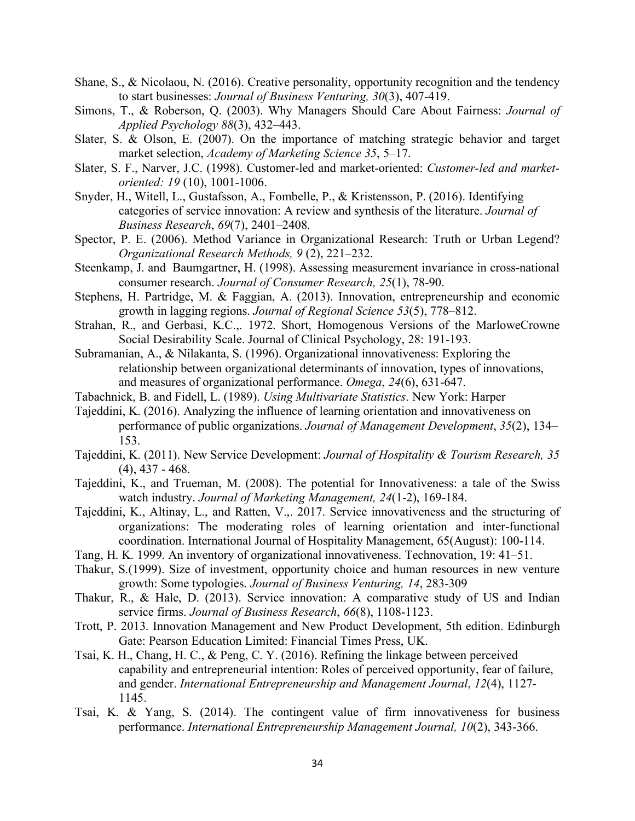- Shane, S., & Nicolaou, N. (2016). Creative personality, opportunity recognition and the tendency to start businesses: *Journal of Business Venturing, 30*(3), 407-419.
- Simons, T., & Roberson, Q. (2003). Why Managers Should Care About Fairness: *Journal of Applied Psychology 88*(3), 432–443.
- Slater, S. & Olson, E. (2007). On the importance of matching strategic behavior and target market selection, *Academy of Marketing Science 35*, 5–17.
- Slater, S. F., Narver, J.C. (1998). Customer-led and market-oriented: *Customer-led and marketoriented: 19* (10), 1001-1006.
- Snyder, H., Witell, L., Gustafsson, A., Fombelle, P., & Kristensson, P. (2016). Identifying categories of service innovation: A review and synthesis of the literature. *Journal of Business Research*, *69*(7), 2401–2408.
- Spector, P. E. (2006). Method Variance in Organizational Research: Truth or Urban Legend? *Organizational Research Methods, 9* (2), 221–232.
- Steenkamp, J. and Baumgartner, H. (1998). Assessing measurement invariance in cross-national consumer research. *Journal of Consumer Research, 25*(1), 78-90.
- Stephens, H. Partridge, M. & Faggian, A. (2013). Innovation, entrepreneurship and economic growth in lagging regions. *Journal of Regional Science 53*(5), 778–812.
- Strahan, R., and Gerbasi, K.C.,. 1972. Short, Homogenous Versions of the MarloweCrowne Social Desirability Scale. Journal of Clinical Psychology, 28: 191-193.
- Subramanian, A., & Nilakanta, S. (1996). Organizational innovativeness: Exploring the relationship between organizational determinants of innovation, types of innovations, and measures of organizational performance. *Omega*, *24*(6), 631-647.
- Tabachnick, B. and Fidell, L. (1989). *Using Multivariate Statistics*. New York: Harper
- Tajeddini, K. (2016). Analyzing the influence of learning orientation and innovativeness on performance of public organizations. *Journal of Management Development*, *35*(2), 134– 153.
- Tajeddini, K. (2011). New Service Development: *Journal of Hospitality & Tourism Research, 35*  (4), 437 - 468.
- Tajeddini, K., and Trueman, M. (2008). The potential for Innovativeness: a tale of the Swiss watch industry. *Journal of Marketing Management, 24*(1-2), 169-184.
- Tajeddini, K., Altinay, L., and Ratten, V.,. 2017. Service innovativeness and the structuring of organizations: The moderating roles of learning orientation and inter-functional coordination. International Journal of Hospitality Management, 65(August): 100-114.
- Tang, H. K. 1999. An inventory of organizational innovativeness. Technovation, 19: 41–51.
- Thakur, S.(1999). Size of investment, opportunity choice and human resources in new venture growth: Some typologies. *Journal of Business Venturing, 14*, 283-309
- Thakur, R., & Hale, D. (2013). Service innovation: A comparative study of US and Indian service firms. *Journal of Business Research*, *66*(8), 1108-1123.
- Trott, P. 2013. Innovation Management and New Product Development, 5th edition. Edinburgh Gate: Pearson Education Limited: Financial Times Press, UK.
- Tsai, K. H., Chang, H. C., & Peng, C. Y. (2016). Refining the linkage between perceived capability and entrepreneurial intention: Roles of perceived opportunity, fear of failure, and gender. *International Entrepreneurship and Management Journal*, *12*(4), 1127- 1145.
- Tsai, K. & Yang, S. (2014). The contingent value of firm innovativeness for business performance. *International Entrepreneurship Management Journal, 10*(2), 343-366.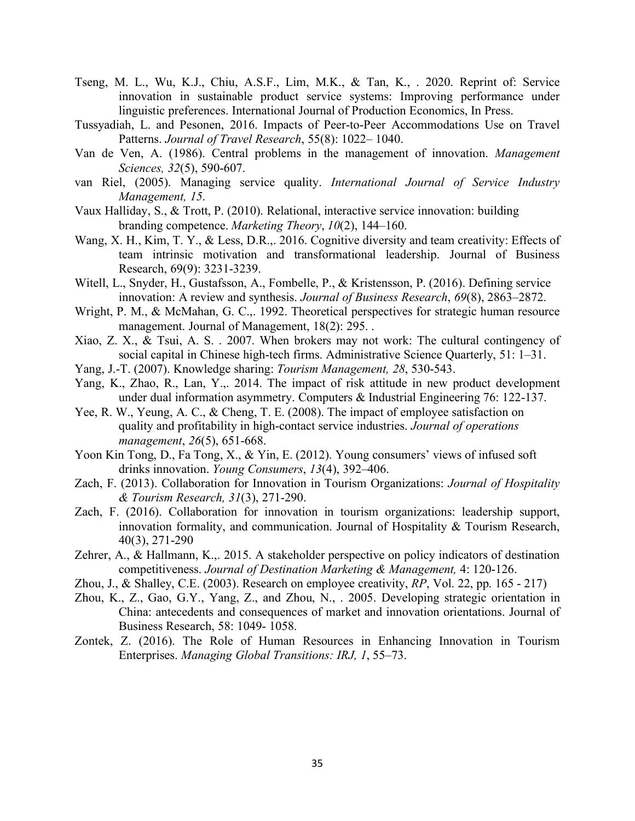- Tseng, M. L., Wu, K.J., Chiu, A.S.F., Lim, M.K., & Tan, K., . 2020. Reprint of: Service innovation in sustainable product service systems: Improving performance under linguistic preferences. International Journal of Production Economics, In Press.
- Tussyadiah, L. and Pesonen, 2016. Impacts of Peer-to-Peer Accommodations Use on Travel Patterns. *Journal of Travel Research*, 55(8): 1022– 1040.
- Van de Ven, A. (1986). Central problems in the management of innovation. *Management Sciences, 32*(5), 590-607.
- van Riel, (2005). Managing service quality. *International Journal of Service Industry Management, 15*.
- Vaux Halliday, S., & Trott, P. (2010). Relational, interactive service innovation: building branding competence. *Marketing Theory*, *10*(2), 144–160.
- Wang, X. H., Kim, T. Y., & Less, D.R.,. 2016. Cognitive diversity and team creativity: Effects of team intrinsic motivation and transformational leadership. Journal of Business Research, 69(9): 3231-3239.
- Witell, L., Snyder, H., Gustafsson, A., Fombelle, P., & Kristensson, P. (2016). Defining service innovation: A review and synthesis. *Journal of Business Research*, *69*(8), 2863–2872.
- Wright, P. M., & McMahan, G. C.,. 1992. Theoretical perspectives for strategic human resource management. Journal of Management, 18(2): 295. .
- Xiao, Z. X., & Tsui, A. S. . 2007. When brokers may not work: The cultural contingency of social capital in Chinese high-tech firms. Administrative Science Quarterly, 51: 1–31.
- Yang, J.-T. (2007). Knowledge sharing: *Tourism Management, 28*, 530-543.
- Yang, K., Zhao, R., Lan, Y.,. 2014. The impact of risk attitude in new product development under dual information asymmetry. Computers & Industrial Engineering 76: 122-137.
- Yee, R. W., Yeung, A. C., & Cheng, T. E. (2008). The impact of employee satisfaction on quality and profitability in high-contact service industries. *Journal of operations management*, *26*(5), 651-668.
- Yoon Kin Tong, D., Fa Tong, X., & Yin, E. (2012). Young consumers' views of infused soft drinks innovation. *Young Consumers*, *13*(4), 392–406.
- Zach, F. (2013). Collaboration for Innovation in Tourism Organizations: *Journal of Hospitality & Tourism Research, 31*(3), 271-290.
- Zach, F. (2016). Collaboration for innovation in tourism organizations: leadership support, innovation formality, and communication. Journal of Hospitality & Tourism Research, 40(3), 271-290
- Zehrer, A., & Hallmann, K.,. 2015. A stakeholder perspective on policy indicators of destination competitiveness. *Journal of Destination Marketing & Management,* 4: 120-126.
- Zhou, J., & Shalley, C.E. (2003). Research on employee creativity, *RP*, Vol. 22, pp. 165 217)
- Zhou, K., Z., Gao, G.Y., Yang, Z., and Zhou, N., . 2005. Developing strategic orientation in China: antecedents and consequences of market and innovation orientations. Journal of Business Research, 58: 1049- 1058.
- Zontek, Z. (2016). The Role of Human Resources in Enhancing Innovation in Tourism Enterprises. *Managing Global Transitions: IRJ, 1*, 55–73.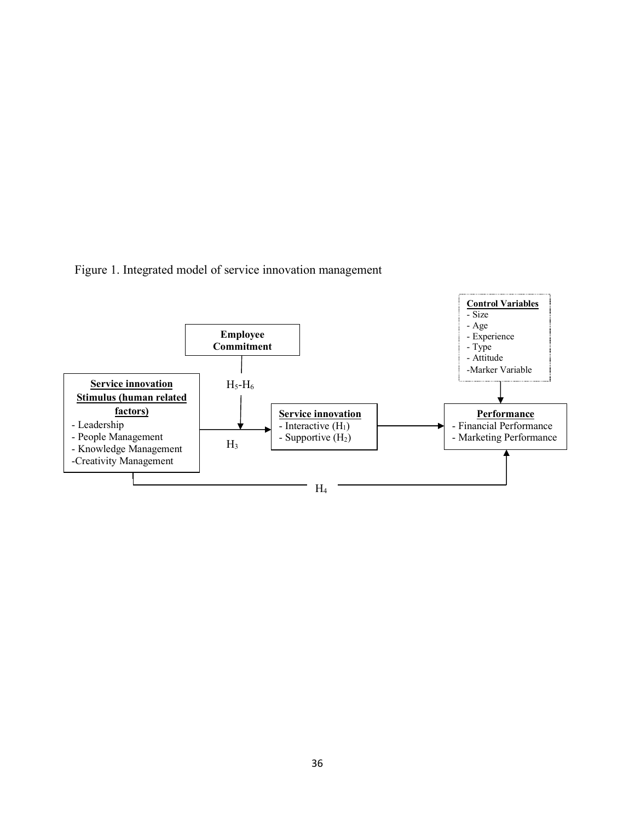Figure 1. Integrated model of service innovation management

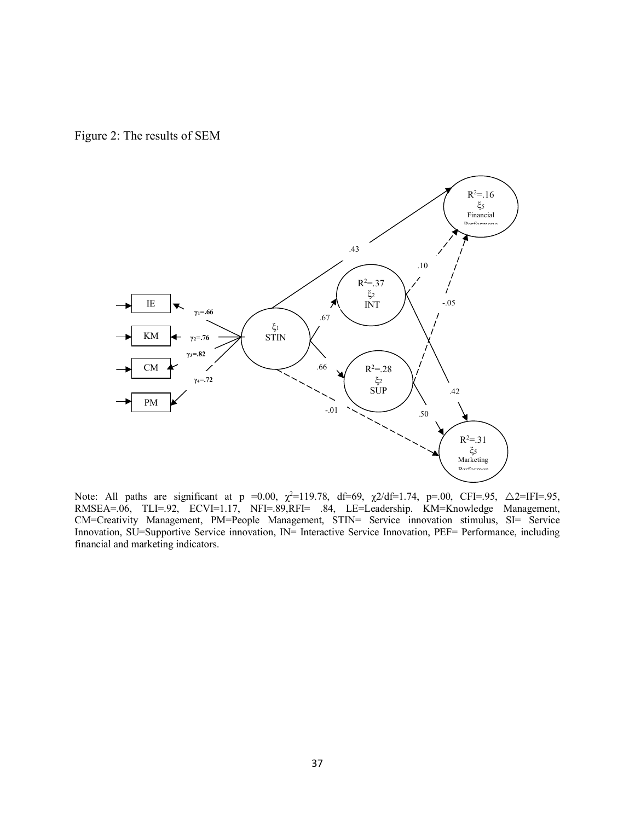Figure 2: The results of SEM



Note: All paths are significant at p =0.00,  $\chi^2$ =119.78, df=69,  $\chi$ 2/df=1.74, p=.00, CFI=.95,  $\Delta$ 2=IFI=.95, RMSEA=.06, TLI=.92, ECVI=1.17, NFI=.89,RFI= .84, LE=Leadership. KM=Knowledge Management, CM=Creativity Management, PM=People Management, STIN= Service innovation stimulus, SI= Service Innovation, SU=Supportive Service innovation, IN= Interactive Service Innovation, PEF= Performance, including financial and marketing indicators.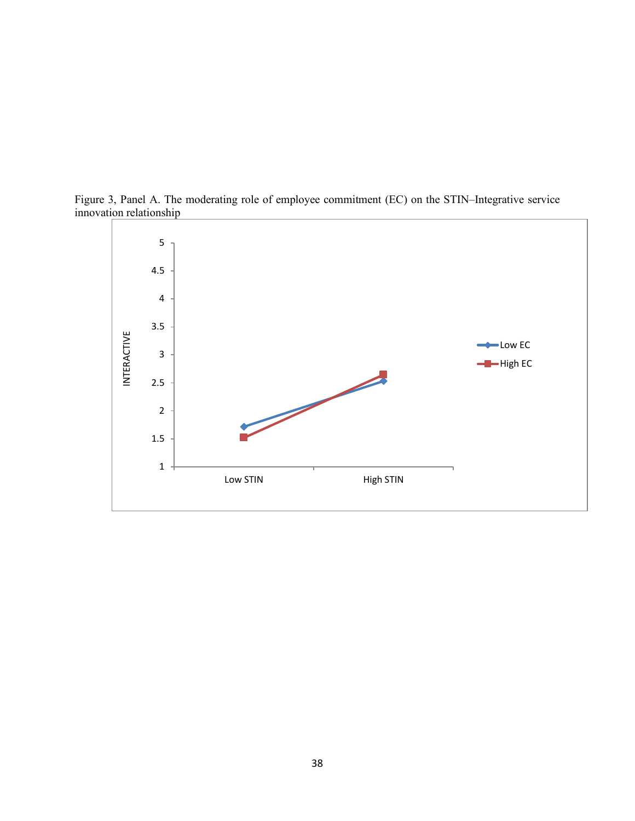

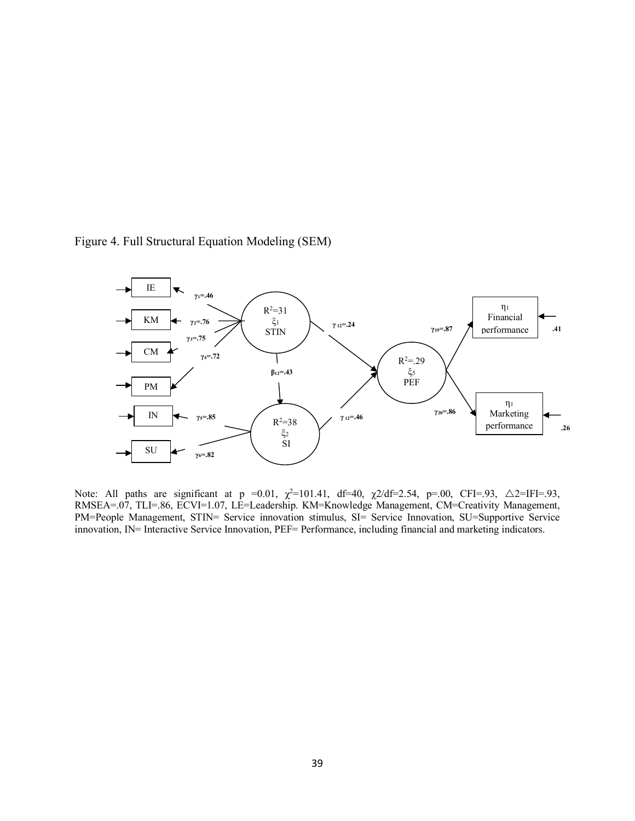

Figure 4. Full Structural Equation Modeling (SEM)

Note: All paths are significant at p = 0.01,  $\chi^2$ =101.41, df=40,  $\chi$ 2/df=2.54, p=.00, CFI=.93, Δ2=IFI=.93, RMSEA=.07, TLI=.86, ECVI=1.07, LE=Leadership. KM=Knowledge Management, CM=Creativity Management, PM=People Management, STIN= Service innovation stimulus, SI= Service Innovation, SU=Supportive Service innovation, IN= Interactive Service Innovation, PEF= Performance, including financial and marketing indicators.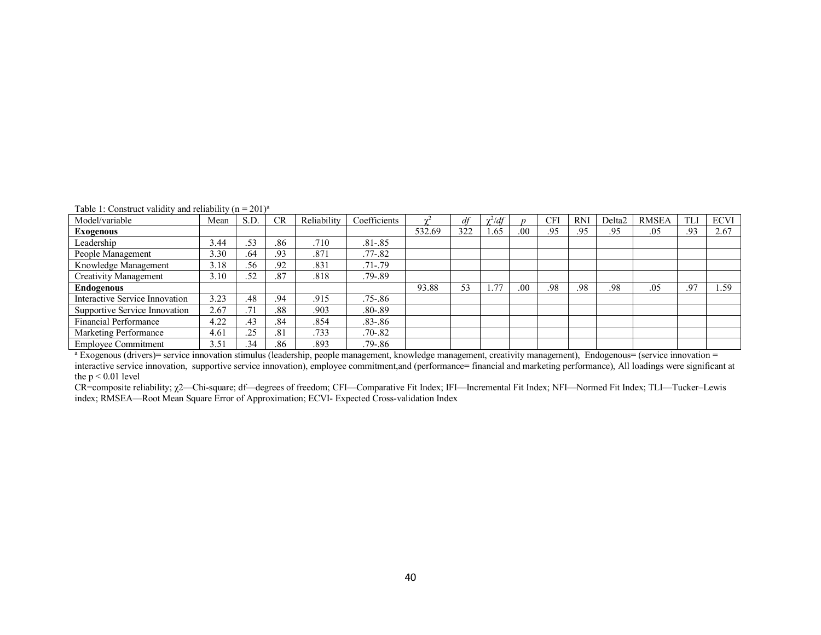| Table 1: Construct validity and reliability ( $n = 201$ ) <sup>a</sup> |  |  |  |
|------------------------------------------------------------------------|--|--|--|
|                                                                        |  |  |  |

| Model/variable                 | Mean | S.D. | CR  | Reliability | Coefficients |        | df  | $\gamma^2/df$ |     | CFI | <b>RNI</b> | Delta <sub>2</sub> | <b>RMSEA</b> |     | <b>ECVI</b> |
|--------------------------------|------|------|-----|-------------|--------------|--------|-----|---------------|-----|-----|------------|--------------------|--------------|-----|-------------|
| Exogenous                      |      |      |     |             |              | 532.69 | 322 | 1.65          | .00 | .95 | .95        | .95                | .05          | .93 | 2.67        |
| Leadership                     | 3.44 | .53  | .86 | .710        | $.81 - .85$  |        |     |               |     |     |            |                    |              |     |             |
| People Management              | 3.30 | .64  | .93 | .871        | $.77 - .82$  |        |     |               |     |     |            |                    |              |     |             |
| Knowledge Management           | 3.18 | .56  | .92 | .831        | $.71 - .79$  |        |     |               |     |     |            |                    |              |     |             |
| <b>Creativity Management</b>   | 3.10 | .52  | .87 | .818        | $.79 - .89$  |        |     |               |     |     |            |                    |              |     |             |
| <b>Endogenous</b>              |      |      |     |             |              | 93.88  | 53  | 1.77          | .00 | .98 | .98        | .98                | .05          | .97 | 1.59        |
| Interactive Service Innovation | 3.23 | .48  | .94 | .915        | $.75 - .86$  |        |     |               |     |     |            |                    |              |     |             |
| Supportive Service Innovation  | 2.67 | .71  | .88 | .903        | $.80 - .89$  |        |     |               |     |     |            |                    |              |     |             |
| <b>Financial Performance</b>   | 4.22 | .43  | .84 | .854        | $.83 - .86$  |        |     |               |     |     |            |                    |              |     |             |
| Marketing Performance          | 4.61 | .25  | .81 | .733        | $.70 - .82$  |        |     |               |     |     |            |                    |              |     |             |
| <b>Employee Commitment</b>     | 3.51 | .34  | .86 | .893        | $.79 - .86$  |        |     |               |     |     |            |                    |              |     |             |

<sup>a</sup> Exogenous (drivers)= service innovation stimulus (leadership, people management, knowledge management, creativity management), Endogenous= (service innovation = interactive service innovation, supportive service innovation), employee commitment,and (performance= financial and marketing performance), All loadings were significant at the  $p < 0.01$  level

CR=composite reliability; χ2—Chi-square; df—degrees of freedom; CFI—Comparative Fit Index; IFI—Incremental Fit Index; NFI—Normed Fit Index; TLI—Tucker–Lewis index; RMSEA—Root Mean Square Error of Approximation; ECVI- Expected Cross-validation Index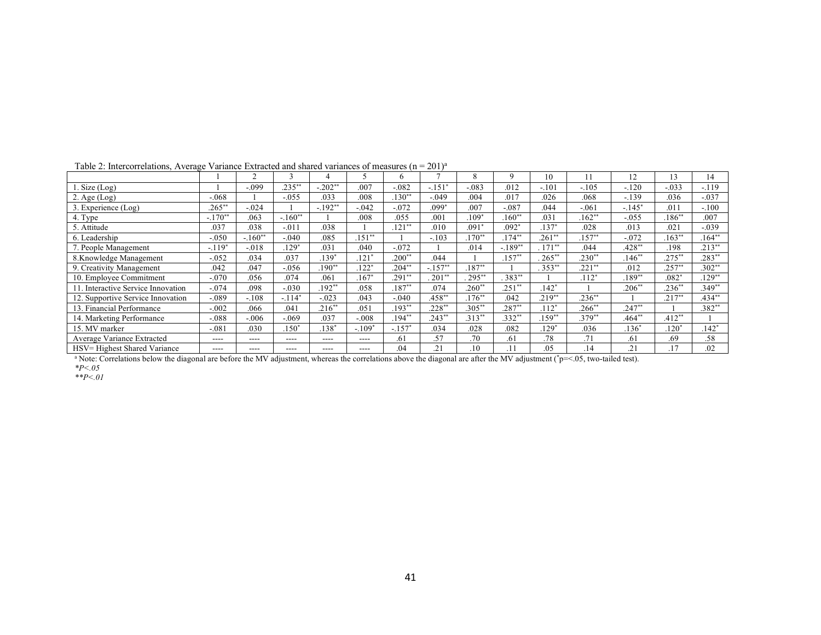|                                    |           |           |           |           |          | 6.                  |           | 8               | 9         | 10                  |          | 12       | 13         | 14        |
|------------------------------------|-----------|-----------|-----------|-----------|----------|---------------------|-----------|-----------------|-----------|---------------------|----------|----------|------------|-----------|
| . Size $(Log)$                     |           | $-.099$   | $.235***$ | $-.202**$ | .007     | $-.082$             | $-.151$   | $-.083$         | .012      | $-.101$             | $-.105$  | $-.120$  | $-.033$    | $-.119$   |
| 2. Age $(Log)$                     | $-.068$   |           | $-0.055$  | .033      | .008     | $.130**$            | $-.049$   | .004            | .017      | .026                | .068     | $-.139$  | .036       | $-.037$   |
| 3. Experience (Log)                | $.265***$ | $-.024$   |           | $-.192**$ | $-.042$  | $-.072$             | $.099*$   | .007            | $-.087$   | .044                | $-.061$  | $-.145*$ | .011       | $-.100$   |
| 4. Type                            | $-.170**$ | .063      | $-.160**$ |           | .008     | .055                | .001      | $.109*$         | $.160**$  | .031                | $.162**$ | $-0.055$ | $186^{**}$ | .007      |
| 5. Attitude                        | .037      | .038      | $-.011$   | .038      |          | $.121**$            | .010      | $.091*$         | $.092*$   | $.137*$             | .028     | .013     | .021       | $-.039$   |
| 6. Leadership                      | $-.050$   | $-.160**$ | $-.040$   | .085      | $.151**$ |                     | $-.103$   | $.170**$        | $.174**$  | $.261**$            | $.157**$ | $-.072$  | $.163**$   | $.164**$  |
| 7. People Management               | $-.119*$  | $-.018$   | $129*$    | .031      | .040     | $-.072$             |           | .014            | $-.189**$ | $\overline{171}$ ** | .044     | $.428**$ | .198       | $.213**$  |
| 8.Knowledge Management             | $-.052$   | .034      | .037      | $.139*$   | $.121*$  | $.200**$            | .044      |                 | $.157**$  | $265***$            | $.230**$ | $.146**$ | $.275***$  | $.283**$  |
| 9. Creativity Management           | .042      | .047      | $-.056$   | $.190**$  | $.122*$  | $.204**$            | $-.157**$ | $.187**$        |           | $353**$             | $.221**$ | .012     | $.257**$   | $.302**$  |
| 10. Employee Commitment            | $-.070$   | .056      | .074      | .061      | $.167*$  | $.291**$            | $201**$   | $\sqrt{295}$ ** | $.383**$  |                     | $.112*$  | $.189**$ | $.082*$    | $.129**$  |
| 11. Interactive Service Innovation | $-.074$   | .098      | $-.030$   | $192**$   | .058     | $.187**$            | .074      | $.260**$        | $.251**$  | $.142*$             |          | $.206**$ | $.236**$   | $.349**$  |
| 12. Supportive Service Innovation  | $-.089$   | $-.108$   | $-.114*$  | $-0.023$  | .043     | $-.040$             | $.458**$  | $.176**$        | .042      | $.219**$            | $.236**$ |          | $.217***$  | $.434***$ |
| 13. Financial Performance          | $-.002$   | .066      | .041      | $.216**$  | .051     | $.193**$            | $.228**$  | $.305**$        | $.287**$  | $.112*$             | $.266**$ | $.247**$ |            | $.382**$  |
| 14. Marketing Performance          | $-.088$   | $-0.06$   | $-.069$   | .037      | $-.008$  | $.194**$            | $.243**$  | $.313**$        | $.332**$  | $.159**$            | $.379**$ | $.464**$ | $.412**$   |           |
| 15. MV marker                      | $-.081$   | .030      | $.150*$   | $.138*$   | $-.109*$ | $-157$ <sup>*</sup> | .034      | .028            | .082      | $.129*$             | .036     | $.136*$  | $.120*$    | $.142*$   |
| Average Variance Extracted         | $---$     | ----      | $---$     | $---$     | ----     | .61                 | .57       | .70             | .61       | .78                 | .71      | .61      | .69        | .58       |
| HSV= Highest Shared Variance       | $- - - -$ | ----      | ----      | ----      | ----     | .04                 | .21       | .10             | .11       | .05                 | .14      | .21      | .17        | .02       |

#### Table 2: Intercorrelations, Average Variance Extracted and shared variances of measures  $(n = 201)^{a}$

<sup>a</sup> Note: Correlations below the diagonal are before the MV adjustment, whereas the correlations above the diagonal are after the MV adjustment (\*p=<.05, two-tailed test). *\*P<.05*

*\*\*P<.01*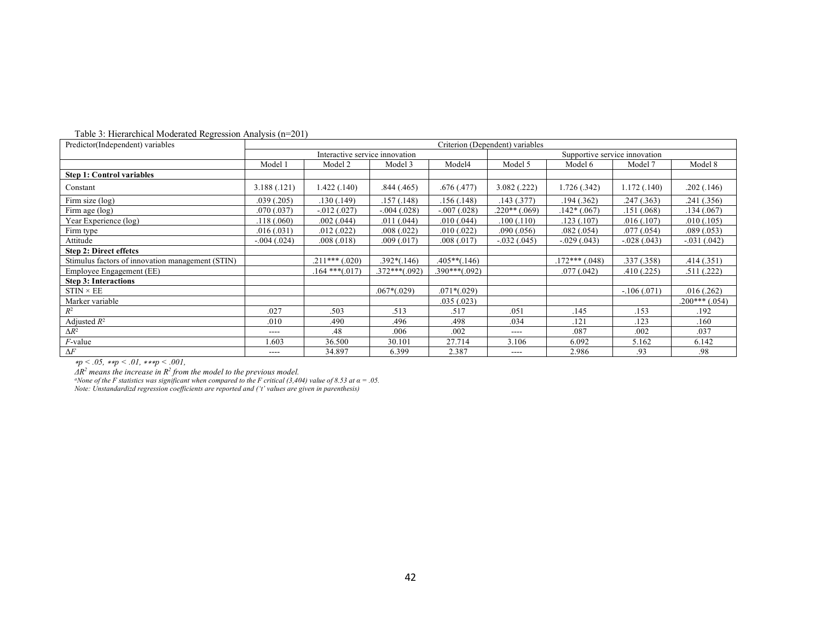| Predictor(Independent) variables                 | Criterion (Dependent) variables |                                |                 |                 |                               |                    |               |                 |  |  |
|--------------------------------------------------|---------------------------------|--------------------------------|-----------------|-----------------|-------------------------------|--------------------|---------------|-----------------|--|--|
|                                                  |                                 | Interactive service innovation |                 |                 | Supportive service innovation |                    |               |                 |  |  |
|                                                  | Model 1                         | Model 2                        | Model 3         | Model4          | Model 5                       | Model 6            | Model 7       | Model 8         |  |  |
| <b>Step 1: Control variables</b>                 |                                 |                                |                 |                 |                               |                    |               |                 |  |  |
| Constant                                         | 3.188(.121)                     | 1.422 (.140)                   | .844(.465)      | .676(.477)      | 3.082(.222)                   | 1.726 (.342)       | 1.172(0.140)  | .202(.146)      |  |  |
| Firm size (log)                                  | .039(.205)                      | .130(.149)                     | .157(.148)      | .156(.148)      | .143(.377)                    | .194(.362)         | .247(.363)    | .241 (.356)     |  |  |
| Firm age (log)                                   | .070(.037)                      | $-0.012(0.027)$                | $-.004(.028)$   | $-.007(.028)$   | $.220**$ (.069)               | $.142*(.067)$      | .151(.068)    | .134(.067)      |  |  |
| Year Experience (log)                            | .118(.060)                      | .002(.044)                     | .011(.044)      | .010(.044)      | .100(.110)                    | .123(.107)         | .016(.107)    | .010(.105)      |  |  |
| Firm type                                        | .016(.031)                      | .012(.022)                     | .008(.022)      | .010(.022)      | .090(.056)                    | .082(.054)         | .077(.054)    | .089(.053)      |  |  |
| Attitude                                         | $-.004(.024)$                   | .008(.018)                     | .009(.017)      | .008 (.017)     | $-.032(.045)$                 | $-.029(.043)$      | $-.028(.043)$ | $-.031(.042)$   |  |  |
| <b>Step 2: Direct effetcs</b>                    |                                 |                                |                 |                 |                               |                    |               |                 |  |  |
| Stimulus factors of innovation management (STIN) |                                 | $.211***(.020)$                | $.392*(.146)$   | $.405**(.146)$  |                               | $.172***$ $(.048)$ | .337(.358)    | .414(.351)      |  |  |
| Employee Engagement (EE)                         |                                 | $.164$ *** $(.017)$            | $.372***(.092)$ | $.390***(.092)$ |                               | .077(.042)         | .410(.225)    | .511(.222)      |  |  |
| <b>Step 3: Interactions</b>                      |                                 |                                |                 |                 |                               |                    |               |                 |  |  |
| $STIN \times EE$                                 |                                 |                                | $.067*(.029)$   | $.071*(.029)$   |                               |                    | $-106(0.071)$ | .016(.262)      |  |  |
| Marker variable                                  |                                 |                                |                 | .035(.023)      |                               |                    |               | $.200***(.054)$ |  |  |
| $R^2$                                            | .027                            | .503                           | .513            | .517            | .051                          | .145               | .153          | .192            |  |  |
| Adjusted $R^2$                                   | .010                            | .490                           | .496            | .498            | .034                          | .121               | .123          | .160            |  |  |
| $\Delta R^2$                                     | $---$                           | .48                            | .006            | .002            | ----                          | .087               | .002          | .037            |  |  |
| $F$ -value                                       | 1.603                           | 36.500                         | 30.101          | 27.714          | 3.106                         | 6.092              | 5.162         | 6.142           |  |  |
| $\Delta F$                                       | $---$                           | 34.897                         | 6.399           | 2.387           | $---$                         | 2.986              | .93           | .98             |  |  |

Table 3: Hierarchical Moderated Regression Analysis (n=201)

<sup>∗</sup>*p < .05,* ∗∗*p < .01,* ∗∗∗*p < .001,* 

*ΔR<sup>2</sup> means the increase in R<sup>2</sup> from the model to the previous model.*<br><sup>a</sup>None of the F statistics was significant when compared to the F critical (3,404) value of 8.53 at α = .05.

*Note: Unstandardizd regression coefficients are reported and ('t' values are given in parenthesis)*